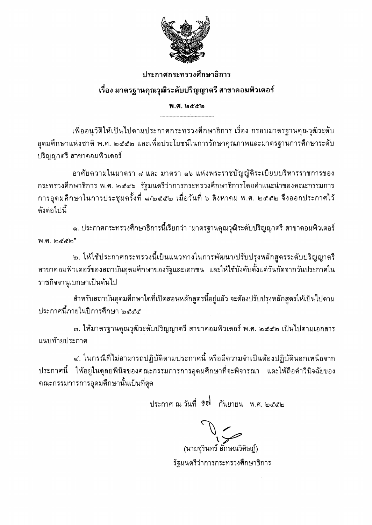

## ประกาศกระทรวงศึกษาธิการ

## เรื่อง มาตรฐานคุณวุฒิระดับปริญญาตรี สาขาคอมพิวเตอร์

#### พ.ศ. ๒๕๕๒ ----------------------------------

เพื่ออนุวัติให้เป็นไปตามประกาศกระทรวงศึกษาธิการ เรื่อง กรอบมาตรฐานคุณวุฒิระดับ อุดมศึกษาแห่งชาติ พ.ศ. ๒๕๕๒ และเพื่อประโยชน์ในการรักษาคุณภาพและมาตรฐานการศึกษาระดับ ปริญญาตรี สาขาคอมพิวเตอร์

อาศัยความในมาตรา ๘ และ มาตรา ๑๖ แห่งพระราชบัญญัติระเบียบบริหารราชการของ กระทรวงศึกษาธิการ พ.ศ. ๒๕๔๖ รัฐมนตรีว่าการกระทรวงศึกษาธิการโดยคำแนะนำของคณะกรรมการ การอุดมศึกษาในการประชุมครั้งที่ ๘/๒๕๕๒ เมื่อวันที่ ๖ สิงหาคม พ.ศ. ๒๕๕๒ จึงออกประกาศไว้ ดังต่อไปนี้

๑. ประกาศกระทรวงศึกษาธิการนี้เรียกว่า "มาตรฐานคุณวุฒิระดับปริญญาตรี สาขาคอมพิวเตอร์ พ.ศ. ๒๕๕๒"

๒. ให้ใช้ประกาศกระทรวงนี้เป็นแนวทางในการพัฒนา/ปรับปรุงหลักสูตรระดับปริญญาตรี สาขาคอมพิวเตอร์ของสถาบันอุดมศึกษาของรัฐและเอกชน และให้ใช้บังคับตั้งแต่วันถัดจากวันประกาศใน ราชกิจจานุเบกษาเป็นต้นไป

สำหรับสถาบันอุดมศึกษาใดที่เปิดสอนหลักสูตรนี้อยู่แล้ว จะต้องปรับปรุงหลักสูตรให้เป็นไปตาม ประกาศนี้ภายในปีการศึกษา ๒๕๕๕

.๓. ให้มาตรฐานคุณวุฒิระดับปริญญาตรี สาขาคอมพิวเตอร์ พ.ศ. ๒๕๕๒ เป็นไปตามเอกสาร แนบท้ายประกาศ

ี่ ๔. ในกรณีที่ไม่สามารถปฏิบัติตามประกาศนี้ หรือมีความจำเป็นต้องปฏิบัตินอกเหนือจาก ประกาศนี้ ให้อยู่ในดุลยพินิจของคณะกรรมการการอุดมศึกษาที่จะพิจารณา และให้ถือคำวินิจฉัยของ ุคณะกรรมการการอุดมศึกษานั้นเป็นที่สุด

ประกาศ ณ วันที่ 9ต กันยายน พ.ศ. ๒๕๕๒

 $\bigcup_{i=1}^n$ (นายจุรินทร์ ลักษณวิศิษฏ์) รัฐมนตรีว่าการกระทรวงศึกษาธิการ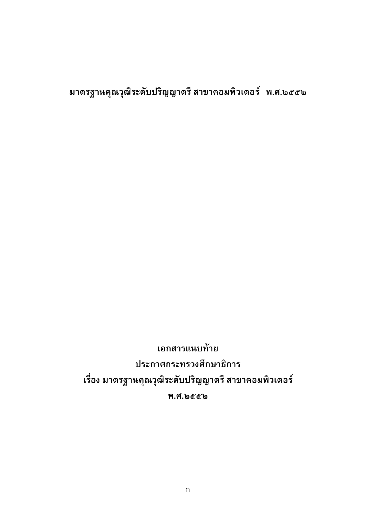มาตรฐานคุณวุฒิระดับปริญญาตรี สาขาคอมพิวเตอร์ พ.ศ.๒๕๕๒

เอกสารแนบท้าย ประกาศกระทรวงศึกษาธิการ เรื่อง มาตรฐานคุณวุฒิระดับปริญญาตรี สาขาคอมพิวเตอร์ พ.ศ.๒๕๕๒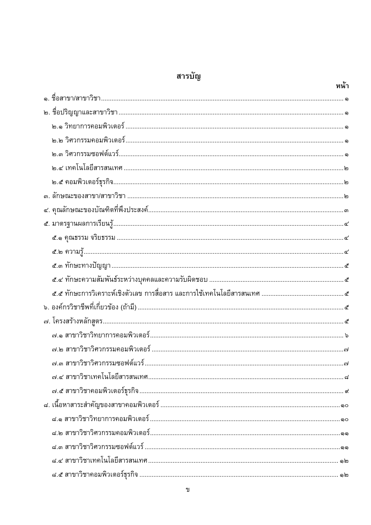# สารบัญ

|  | หน้า |
|--|------|
|  |      |
|  |      |
|  |      |
|  |      |
|  |      |
|  |      |
|  |      |
|  |      |
|  |      |
|  |      |
|  |      |
|  |      |
|  |      |
|  |      |
|  |      |
|  |      |
|  |      |
|  |      |
|  |      |
|  |      |
|  |      |
|  |      |
|  |      |
|  |      |
|  |      |
|  |      |
|  |      |
|  |      |

ข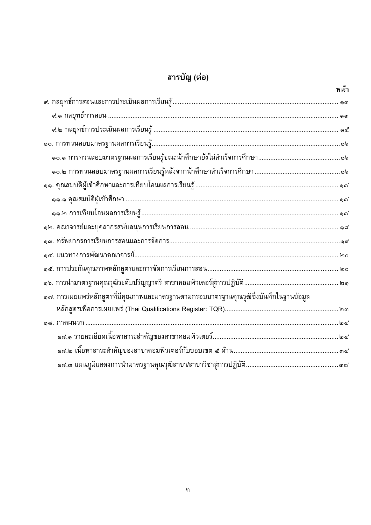# สารบัญ (ต่อ)

|                                                                                       | หน้า |
|---------------------------------------------------------------------------------------|------|
|                                                                                       |      |
|                                                                                       |      |
|                                                                                       |      |
|                                                                                       |      |
|                                                                                       |      |
|                                                                                       |      |
|                                                                                       |      |
|                                                                                       |      |
|                                                                                       |      |
|                                                                                       |      |
|                                                                                       |      |
|                                                                                       |      |
|                                                                                       |      |
|                                                                                       |      |
| ๑๗. การเผยแพร่หลักสูตรที่มีคุณภาพและมาตรฐานตามกรอบมาตรฐานคุณวุฒิซึ่งบันทึกในฐานข้อมูล |      |
|                                                                                       |      |
|                                                                                       |      |
|                                                                                       |      |
|                                                                                       |      |
|                                                                                       |      |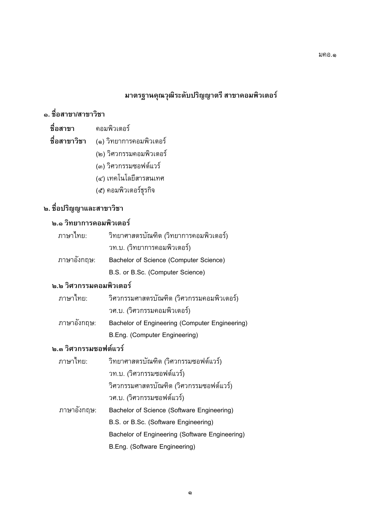## มาตรฐานคุณวุฒิระดับปริญญาตรี สาขาคอมพิวเตอร์

## ื่<sub>อ.</sub> ชื่อสาขา/สาขาวิชา

- -   () 
-
	- -
		- $\sim$  3  $\sigma$   $\sim$  3  $\sigma$   $\sim$  5  $\sim$  3  $\sigma$   $\sim$  5  $\sim$
		- ()
		- $(1)$  counter transition  $\frac{1}{9}$

## **ิ ๒. ชื่อปริญญาและสาขาวิชา**

#### ๒.๑ วิทยาการคอมพิวเตอร์

| ิ ภาษาไทย:  | วิทยาศาสตรบัณฑิต (วิทยาการคอมพิวเตอร์) |
|-------------|----------------------------------------|
|             | วท.บ. (วิทยาการคอมพิวเตอร์)            |
| ภาษาอังกฤษ: | Bachelor of Science (Computer Science) |
|             | $D C$ as $D C_2$ (Camputar Caionae)    |

#### B.S. or B.Sc. (Computer Science) **๒.๒ วิศวกรรมคอมพิวเตอร์**

| ภาษาไทย:    | ้วิศวกรรมศาสตรบัณฑิต (วิศวกรรมคอมพิวเตอร์)     |
|-------------|------------------------------------------------|
|             | วศ.บ. (วิศวกรรมคอมพิวเตอร์)                    |
| ภาษาอังกฤษ: | Bachelor of Engineering (Computer Engineering) |
|             | B.Eng. (Computer Engineering)                  |
| $\sim$      | א ′או                                          |

#### **๒.๓ วิศวกรรมซอฟต์แวร์**

| ภาษาไทย:    | วิทยาศาสตรบัณฑิต (วิศวกรรมซอฟต์แวร์)           |
|-------------|------------------------------------------------|
|             | ิวท.บ. (วิศวกรรมซอฟต์แวร์)                     |
|             | วิศวกรรมศาสตรบัณฑิต (วิศวกรรมซอฟต์แวร์)        |
|             | วศ.บ. (วิศวกรรมซอฟต์แวร์)                      |
| ภาษาอังกฤษ: | Bachelor of Science (Software Engineering)     |
|             | B.S. or B.Sc. (Software Engineering)           |
|             | Bachelor of Engineering (Software Engineering) |
|             | B.Eng. (Software Engineering)                  |
|             |                                                |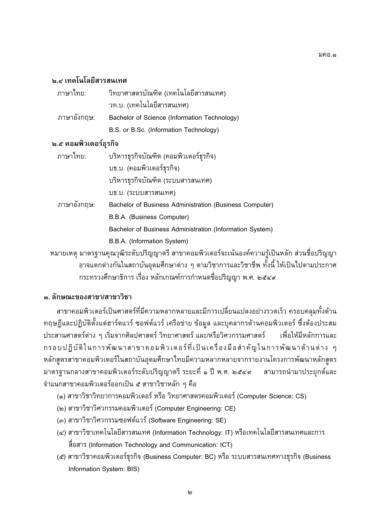#### **๒.๔ เทคโนโลยีสารสนเทศ**

| ภาษาไทย:    | วิทยาศาสตรบัณฑิต (เทคโนโลยีสารสนเทศ)         |
|-------------|----------------------------------------------|
|             | ิวท.บ. (เทคโนโลยีสารสนเทศ)                   |
| ภาษาอังกฤษ: | Bachelor of Science (Information Technology) |
|             | B.S. or B.Sc. (Information Technology)       |

#### ๒.๕ คอมพิวเตอร์ธุรกิจ

| ภาษาไทย:    | บริหารธุรกิจบัณฑิต (คอมพิวเตอร์ธุรกิจ)                   |
|-------------|----------------------------------------------------------|
|             | บธ.บ. (คอมพิวเตอร์ธุรกิจ)                                |
|             | บริหารธุรกิจบัณฑิต (ระบบสารสนเทศ)                        |
|             | บธ.บ. (ระบบสารสนเทศ)                                     |
| ภาษาอังกฤษ: | Bachelor of Business Administration (Business Computer)  |
|             | B.B.A. (Business Computer)                               |
|             | Bachelor of Business Administration (Information System) |
|             | B.B.A. (Information System)                              |
|             |                                                          |

่ หมายเหตุ มาตรฐานคุณวุฒิระดับปริญญาตรี สาขาคอมพิวเตอร์จะเน้นองค์ความรู้เป็นหลัก ส่วนชื่อปริญญา ้อาจแตกต่างกันในสถาบันอุดมศึกษาต่าง ๆ ตามวิชาการและวิชาชีพ ทั้งนี้ ให้เป็นไปตามประกาศ ิ กระทรวงศึกษาธิการ เรื่อง หลักเกณฑ์การกำหนดชื่อปริญญา พ.ศ. ๒๕๔๙

#### .๓. ลักษณะของสาขา/สาขาวิชา

ี่สาขาคอมพิวเตอร์เป็นศาสตร์ที่มีความหลากหลายและมีการเปลี่ยนแปลงอย่างรวดเร็ว ครอบคลุมทั้งด้าน ทฤษฎีและปฏิบัติตั้งแต่ฮาร์ดแวร์ ซอฟต์แวร์ เครือข่าย ข้อมูล และบุคลากรด้านคอมพิวเตอร์ ซึ่งต้องประสม ประสานศาสตร์ต่าง ๆ เริ่มจากศิลปศาสตร์ วิทยาศาสตร์ และ/หรือวิศวกรรมศาสตร์ ้เพื่อให้มีหลักการและ ึกรอบปฏิบัติในการพัฒนาสาขาคอมพิวเตอร์ที่เป็นเครื่องมือสำคัญในการพัฒนาด้านต่าง ๆ หลักสูตรสาขาคอมพิวเตอร์ในสถาบันอุดมศึกษาไทยมีความหลากหลายจากรายงานโครงการพัฒนาหลักสูตร มาตรฐานกลางสาขาคอมพิวเตอร์ระดับปริญญาตรี ระยะที่ ๑ ปี พ.ศ. ๒๕๔๙ ิสามารถนำมาประยุกต์และ ้จำแนกสาขาคอมพิวเตอร์ออกเป็น ๕ สาขาวิชาหลัก ๆ คือ

- (๑) สาขาวิชาวิทยาการคอมพิวเตอร์ หรือ วิทยาศาสตรคอมพิวเตอร์ (Computer Science: CS)
- (๒) สาขาวิชาวิศวกรรมคอมพิวเตอร์ (Computer Engineering: CE)
- (๓) สาขาวิชาวิศวกรรมซอฟต์แวร์ (Software Engineering: SE)
- (๔) สาขาวิชาเทคโนโลยีสารสนเทศ (Information Technology: IT) หรือเทคโนโลยีสารสนเทศและการ สื่อสาร (Information Technology and Communication: ICT)
- (๕) สาขาวิชาคอมพิวเตอร์ธุรกิจ (Business Computer: BC) หรือ ระบบสารสนเทศทางธุรกิจ (Business Information System: BIS)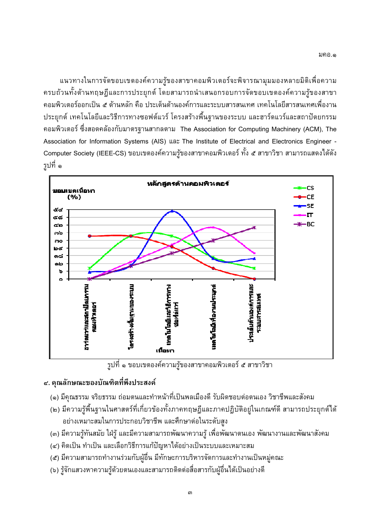.

ย<br>้วยทั้งด้วยทอน จีและการประยุกต์ โดยสายารถนำเสยลกรอยการจัดขอยแขตตางด์ดาวยรัตลงสาขา อรจะพจารณามุมมองหลายมตเพอควา<br>รอบอารอัคขอบขอองค์ความรับองสาข ออมพิวเตอร์ออกเป็ม ส.อ้วมหวัก คือ ประเด็มด้วมองจ์การแจะระมมตรรมแหส เหอโมโจยีตารตมเทสเพื่องาม -  38 26-& < 3/ 2J26+//%% 

 <=+  $\frac{1}{2}$  is a substitute of the contract of the contract  $\frac{1}{2}$  and  $\frac{1}{2}$  and  $\frac{1}{2}$  and  $\frac{1}{2}$  and  $\frac{1}{2}$  and  $\frac{1}{2}$  and  $\frac{1}{2}$  and  $\frac{1}{2}$  and  $\frac{1}{2}$  and  $\frac{1}{2}$  and  $\frac{1}{2}$  and  $\frac{1}{2}$ Association for Information Systems (AIS), US\* The Institute of Electrical and Electronics Engineer Association for Information Systems (AIS) / The Institute of Electrical and Electronics Engineer -  $\frac{1}{2}$ ้รูปที่ ๑



 $\mathbf{q}$ 

## ๔. คุณลักษณะของบัณฑิตที่พึงประสงค์

- (๑) มีคุณธรรม จริยธรรม ถ่อมตนและทำหน้าที่เป็นพลเมืองดี รับผิดชอบต่อตนเอง วิชาชีพและสังคม
- $\frac{1}{2}$  :  $\frac{1}{2}$  ขณะที่ มีความ รู้ต่อมูล กล้า ถองกลุ่ม จะถองไล้มัติอยู่ในเกลเซ์ดี จายวรถไระ () -79> '\*2 -?3/ \$26 ย่างแรงการจะประกอบอิสาสีขมาต่อในระดับจร
- 9+ --/->3/%;; /@# 9>/2&%7+ + &1+/&1&+-
- () --76
&-& >WX76 /---?&1-76 <=&1
- () 2 38 
G 3 / 8 <63P4-\$269+ 38/%%/ --/- ุคณะ<br>'
- () ---?
G+9-&%V76<= -&#/%-!&2/
G+ 38-- $\begin{array}{ccc} \text{A} & \text{B} \\ \text{B} & \text{C} \end{array}$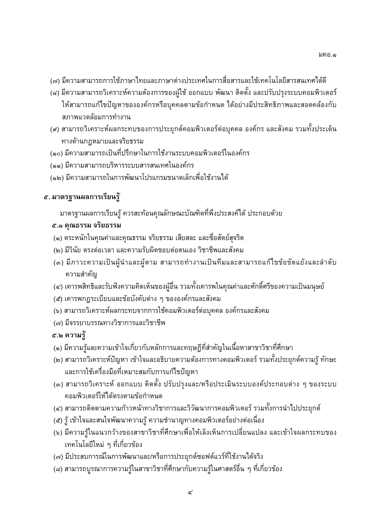มคอ.๑

- (๗) มีความสามารถการใช้ภาษาไทยและภาษาต่างประเทศในการสื่อสารและใช้เทคโนโลยีสารสนเทศได้ดี
- (๘) มีความสามารถวิเคราะห์ความต้องการของผู้ใช้ ออกแบบ พัฒนา ติดตั้ง และปรับปรุงระบบคอมพิวเตอร์ ให้สามารถแก้ไขปัญหาขององค์กรหรือบุคคลตามข้อกำหนด ได้อย่างมีประสิทธิภาพและสอดคล้องกับ ิสภาพแวดล้อมการทำงาน
- (๙) สามารถวิเคราะห์ผลกระทบของการประยุกต์คอมพิวเตอร์ต่อบุคคล องค์กร และสังคม รวมทั้งประเด็น ทางด้านกฎหมายและจริยธรรม
- (๑๐) มีความสามารถเป็นที่ปรึกษาในการใช้งานระบบคอมพิวเตอร์ในองค์กร
- (๑๑) มีความสามารถบริหารระบบสารสนเทศในองค์กร
- (๑๒) มีความสามารถในการพัฒนาโปรแกรมขนาดเล็กเพื่อใช้งานได้

## ี ๕. มาตรฐานผลการเรียนรู้

มาตรฐานผลการเรียนรู้ ควรสะท้อนคุณลักษณะบัณฑิตที่พึงประสงค์ได้ ประกอบด้วย

## ๕.๑ คุณธรรม จริยธรรม

- (๑) ตระหนักในคุณค่าและคุณธรรม จริยธรรม เสียสละ และซื่อสัตย์สุจริต
- (๒) มีวินัย ตรงต่อเวลา และความรับผิดชอบต่อตนเอง วิชาชีพและสังคม
- (๓) มีภาวะความเป็นผู้นำและผู้ตาม สามารถทำงานเป็นทีมและสามารถแก้ไขข้อขัดแย้งและลำดับ ความสำคัญ
- ี (๔) เคารพสิทธิและรับฟังความคิดเห็นของผู้อื่น รวมทั้งเคารพในคุณค่าและศักดิ์ศรีของความเป็นมนุษย์
- (๕) เคารพกฎระเบียบและข้อบังคับต่าง ๆ ขององค์กรและสังคม
- (๖) สามารถวิเคราะห์ผลกระทบจากการใช้คอมพิวเตอร์ต่อบุคคล องค์กรและสังคม
- (๗) มีจรรยาบรรณทางวิชาการและวิชาชีพ

## ๕.๒ ความรู้

- (๑) มีความรู้และความเข้าใจเกี่ยวกับหลักการและทฤษฎีที่สำคัญในเนื้อหาสาขาวิชาที่ศึกษา
- (๒) สามารถวิเคราะห์ปัญหา เข้าใจและอธิบายความต้องการทางคอมพิวเตอร์ รวมทั้งประยุกต์ความรู้ ทักษะ ้ และการใช้เครื่องมือที่เหมาะสมกับการแก้ไขปัญหา
- (๓) สามารถวิเคราะห์ ออกแบบ ติดตั้ง ปรับปรุงและ/หรือประเมินระบบองค์ประกอบต่าง ๆ ของระบบ ้คอมพิวเตอร์ให้ได้ตรงตามข้อกำหนด
- (๔) สามารถติดตามความก้าวหน้าทางวิชาการและวิวัฒนาการคอมพิวเตอร์ รวมทั้งการนำไปประยุกต์
- (๕) รู้ เข้าใจและสนใจพัฒนาความรู้ ความชำนาญทางคอมพิวเตอร์อย่างต่อเนื่อง
- (๖) มีความรู้ในแนวกว้างของสาขาวิชาที่ศึกษาเพื่อให้เล็งเห็นการเปลี่ยนแปลง และเข้าใจผลกระทบของ ้เทคโนโลยีใหม่ ๆ ที่เกี่ยวข้อง
- (๗) มีประสบการณ์ในการพัฒนาและ/หรือการประยุกต์ซอฟต์แวร์ที่ใช้งานได้จริง
- (๘) สามารถบูรณาการความรู้ในสาขาวิชาที่ศึกษากับความรู้ในศาสตร์อื่น ๆ ที่เกี่ยวข้อง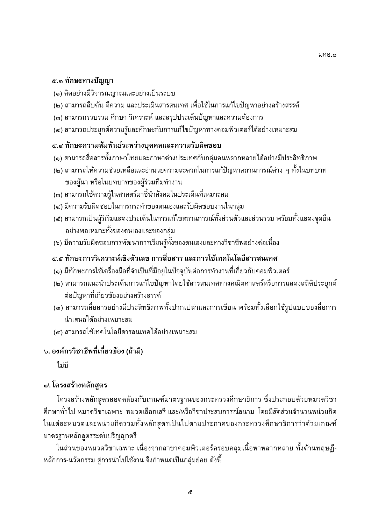#### ๕.๓ ทักษะทางปัญญา

- (๑) คิดอย่างมีวิจารณญาณและอย่างเป็นระบบ
- (๒) สามารถสืบค้น ตีความ และประเมินสารสนเทศ เพื่อใช้ในการแก้ไขปัญหาอย่างสร้างสรรค์
- (๓) สามารถรวบรวม ศึกษา วิเคราะห์ และสรุปประเด็นปัญหาและความต้องการ
- (๔) สามารถประยุกต์ความรู้และทักษะกับการแก้ไขปัญหาทางคอมพิวเตอร์ได้อย่างเหมาะสม

#### ๕.๔ ทักษะความสัมพันธ์ระหว่างบุคคลและความรับผิดชอบ

- (๑) สามารถสื่อสารทั้งภาษาไทยและภาษาต่างประเทศกับกลุ่มคนหลากหลายได้อย่างมีประสิทธิภาพ
- (๒) สามารถให้ความช่วยเหลือและอำนวยความสะดวกในการแก้ปัญหาสถานการณ์ต่าง ๆ ทั้งในบทบาท ของผู้นำ หรือในบทบาทของผู้ร่วมทีมทำงาน
- (๓) สามารถใช้ความรู้ในศาสตร์มาชี้นำสังคมในประเด็นที่เหมาะสม
- (๔) มีความรับผิดชอบในการกระทำของตนเองและรับผิดชอบงานในกลุ่ม
- (๕) สามารถเป็นผู้ริเริ่มแสดงประเด็นในการแก้ไขสถานการณ์ทั้งส่วนตัวและส่วนรวม พร้อมทั้งแสดงจุดยืน อย่างพอเหมาะทั้งของตนเองและของกลุ่ม
- (๖) มีความรับผิดชอบการพัฒนาการเรียนรู้ทั้งของตนเองและทางวิชาชีพอย่างต่อเนื่อง

## ๕.๕ ทักษะการวิเคราะห์เชิงตัวเลข การสื่อสาร และการใช้เทคโนโลยีสารสนเทศ

- (๑) มีทักษะการใช้เครื่องมือที่จำเป็นที่มีอยู่ในปัจจุบันต่อการทำงานที่เกี่ยวกับคอมพิวเตอร์
- (๒) สามารถแนะนำประเด็นการแก้ไขปัญหาโดยใช้สารสนเทศทางคณิตศาสตร์หรือการแสดงสถิติประยุกต์ ต่อปัญหาที่เกี่ยวข้องอย่างสร้างสรรค์
- (๓) สามารถสื่อสารอย่างมีประสิทธิภาพทั้งปากเปล่าและการเขียน พร้อมทั้งเลือกใช้รูปแบบของสื่อการ นำเสนอได้อย่างเหมาะสม
- (๔) สามารถใช้เทคโนโลยีสารสนเทศได้อย่างเหมาะสม

## ึ่ง. องค์กรวิชาชีพที่เกี่ยวข้อง (ถ้ามี)

ไม่มี

#### ี๗. โครงสร้างหลักสูตร

โครงสร้างหลักสตรสอดคล้องกับเกณฑ์มาตรฐานของกระทรวงศึกษาธิการ ซึ่งประกอบด้วยหมวดวิชา ้ศึกษาทั่วไป หมวดวิชาเฉพาะ หมวดเลือกเสรี และ/หรือวิชาประสบการณ์สนาม โดยมีสัดส่วนจำนวนหน่วยกิต ในแต่ละหมวดและหน่วยกิตรวมทั้งหลักสูตรเป็นไปตามประกาศของกระทรวงศึกษาธิการว่าด้วยเกณฑ์ มาตรฐานหลักสูตรระดับปริญญาตรี

ในส่วนของหมวดวิชาเฉพาะ เนื่องจากสาขาคอมพิวเตอร์ครอบคลุมเนื้อหาหลากหลาย ทั้งด้านทฤษฏี-้หลักการ-นวัตกรรม สู่การนำไปใช้งาน จึงกำหนดเป็นกลุ่มย่อย ดังนี้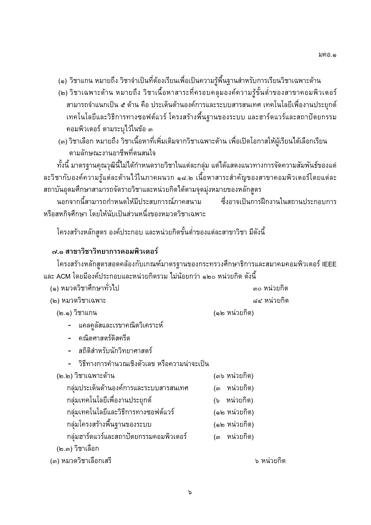- (๑) วิชาแกน หมายถึง วิชาจำเป็นที่ต้องเรียนเพื่อเป็นความรู้พื้นฐานสำหรับการเรียนวิชาเฉพาะด้าน
- (๒) วิชาเฉพาะด้าน หมายถึง วิชาเนื้อหาสาระที่ครอบคลุมองค์ความรู้ขั้นต่ำของสาขาคอมพิวเตอร์ ี่สามารถจำแนกเป็น ๕ ด้าน คือ ประเด็นด้านองค์การและระบบสารสนเทศ เทคโนโลยีเพื่องานประยุกต์ ้เทคโนโลยีและวิธีการทางซอฟต์แวร์ โครงสร้างพื้นฐานของระบบ และฮาร์ดแวร์และสถาปัตยกรรม คอมพิวเตอร์ ตามระบุไว้ในข้อ ๓
- (๓) วิชาเลือก หมายถึง วิชาเนื้อหาที่เพิ่มเติมจากวิชาเฉพาะด้าน เพื่อเปิดโอกาสให้ผู้เรียนได้เลือกเรียน ตามลักษณะงานอาชีพที่ตนสนใจ

ทั้งนี้ มาตรฐานคุณวุฒินี้ไม่ได้กำหนดรายวิชาในแต่ละกลุ่ม แต่ได้แสดงแนวทางการจัดความสัมพันธ์ของแต่ ละวิชากับองค์ความรู้แต่ละด้านไว้ในภาคผนวก ๑๘.๒ เนื้อหาสาระสำคัญของสาขาคอมพิวเตอร์โดยแต่ละ สถาบันอุดมศึกษาสามารถจัดรายวิชาและหน่วยกิตได้ตามจุดมุ่งหมายของหลักสูตร

นอกจากนี้สามารถกำหนดให้มีประสบการณ์ภาคสนาม ้ ซึ่งอาจเป็นการฝึกงานในสถานประกอบการ หรือสหกิจศึกษา โดยให้นับเป็นส่วนหนึ่งของหมวดวิชาเฉพาะ

โครงสร้างหลักสูตร องค์ประกอบ และหน่วยกิตขั้นต่ำของแต่ละสาขาวิชา มีดังนี้

#### ๗.๑ สาขาวิชาวิทยาการคอมพิวเตอร์

โครงสร้างหลักสูตรสอดคล้องกับเกณฑ์มาตรฐานของกระทรวงศึกษาธิการและสมาคมคอมพิวเตอร์ IEEE และ ACM โดยมีองค์ประกอบและหน่วยกิตรวม ไม่น้อยกว่า ๑๒๐ หน่วยกิต ดังนี้

| ๑) หมวดวิชาศึกษาทั่วไป | ี ๓๐ หน่วยกิต |
|------------------------|---------------|
| ๒) หมวดวิชาเฉพาะ       | ี ๘๔ หน่วยกิต |
| (๒.๑) วิชาแกน          | (๑๒ หน่วยกิต) |

(๒.๑) วิชาแกน

แคลคูลัสและเรขาคณิตวิเคราะห์

- คณิตศาสตร์ดิสครีต
- สถิติสำหรับนักวิทยาศาสตร์
- วิธีทางการคำนวณเชิงตัวเลข หรือความน่าจะเป็น

| (๒.๒) วิชาเฉพาะด้าน                    | (๓๖ หน่วยกิต)   |
|----------------------------------------|-----------------|
| กลุ่มประเด็นด้านองค์การและระบบสารสนเทศ | หน่วยกิต)<br>(ள |
| ึกลุ่มเทคโนโลยีเพื่องานประยุกต์        | (๖ หน่วยกิต)    |
| ึกลุ่มเทคโนโลยีและวิธีการทางซอฟต์แวร์  | (๑๒ หน่วยกิต)   |
| กลุ่มโครงสร้างพื้นฐานของระบบ           | (๑๒ หน่วยกิต)   |
| กล่มฮาร์ดแวร์และสถาปัตยกรรมคอมพิวเตอร์ | (๓ หน่วยกิต)    |
| (๒.๓) วิชาเลือก                        |                 |
| (๓) หมวดวิชาเลือกเสรี                  | ৯               |

๖ หน่วยกิต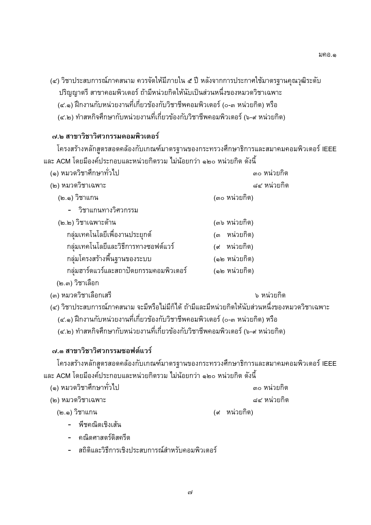มคอ.๑

- (๔) วิชาประสบการณ์ภาคสนาม ควรจัดให้มีภายใน ๕ ปี หลังจากการประกาศใช้มาตรฐานคุณวุฒิระดับ
	- ปริญญาตรี สาขาคอมพิวเตอร์ ถ้ามีหน่วยกิตให้นับเป็นส่วนหนึ่งของหมวดวิชาเฉพาะ
	- (๔.๑) ฝึกงานกับหน่วยงานที่เกี่ยวข้องกับวิชาชีพคอมพิวเตอร์ (๐-๓ หน่วยกิต) หรือ
	- (๔.๒) ทำสหกิจศึกษากับหน่วยงานที่เกี่ยวข้องกับวิชาชีพคอมพิวเตอร์ (๖-๙ หน่วยกิต)

## ๗.๒ สาขาวิชาวิศวกรรมคอมพิวเตอร์

โครงสร้างหลักสูตรสอดคล้องกับเกณฑ์มาตรฐานของกระทรวงศึกษาธิการและสมาคมคอมพิวเตอร์ IEEE และ ACM โดยมีองค์ประกอบและหน่วยกิตรวม ไม่น้อยกว่า ๑๒๐ หน่วยกิต ดังนี้

| (๑) หมวดวิชาศึกษาทั่วไป                | ๓๐ หน่วยกิต     |
|----------------------------------------|-----------------|
| (๒) หมวดวิชาเฉพาะ                      | ๘๔ หน่วยกิต     |
| (๒.๑) วิชาแกน                          | (๓๐ หน่วยกิต)   |
| - วิชาแกนทางวิศวกรรม                   |                 |
| (๒.๒) วิชาเฉพาะด้าน                    | (๓๖ หน่วยกิต)   |
| ึกลุ่มเทคโนโลยีเพื่องานประยุกต์        | (๓ หน่วยกิต)    |
| ึกลุ่มเทคโนโลยีและวิธีการทางซอฟต์แวร์  | หน่วยกิต)<br>(ଝ |
| กลุ่มโครงสร้างพื้นฐานของระบบ           | (๑๒ หน่วยกิต)   |
| กล่มฮาร์ดแวร์และสถาปัตยกรรมคอมพิวเตอร์ | (๑๒ หน่วยกิต)   |
| (๒.๓) วิชาเลือก                        |                 |

(๓) หมวดวิชาเลือกเสรี

๖ หน่วยกิต

- (๔) วิชาประสบการณ์ภาคสนาม จะมีหรือไม่มีก็ได้ ถ้ามีและมีหน่วยกิตให้นับส่วนหนึ่งของหมวดวิชาเฉพาะ
	- (๔.๑) ฝึกงานกับหน่วยงานที่เกี่ยวข้องกับวิชาชีพคอมพิวเตอร์ (๐-๓ หน่วยกิต) หรือ
	- (๔.๒) ทำสหกิจศึกษากับหน่วยงานที่เกี่ยวข้องกับวิชาชีพคอมพิวเตอร์ (๖-๙ หน่วยกิต)

## ๗.๓ สาขาวิชาวิศวกรรมซอฟต์แวร์

โครงสร้างหลักสูตรสอดคล้องกับเกณฑ์มาตรฐานของกระทรวงศึกษาธิการและสมาคมคอมพิวเตอร์ IEEE และ ACM โดยมีองค์ประกอบและหน่วยกิตรวม ไม่น้อยกว่า ๑๒๐ หน่วยกิต ดังนี้

| (๑) หมวดวิชาศึกษาทั่วไป | ี ๓๐ หน่วยกิต |
|-------------------------|---------------|
| (๒) หมวดวิชาเฉพาะ       | ุ ๘๔ หน่วยกิต |

(๒.๑) วิชาแกน

(๙ หน่วยกิต)

- พืชคณิตเชิงเส้น
- คณิตศาสตร์ดิสครีต
- สถิติและวิธีการเชิงประสบการณ์สำหรับคอมพิวเตอร์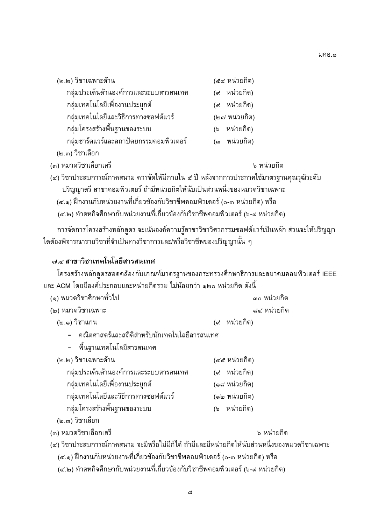| (๒.๒) วิชาเฉพาะด้าน                     | (๕๔ หน่วยกิต) |
|-----------------------------------------|---------------|
| ึกลุ่มประเด็นด้านองค์การและระบบสารสนเทศ | (๙ หน่วยกิต)  |
| ึกลุ่มเทคโนโลยีเพื่องานประยุกต์         | (๙ หน่วยกิต)  |
| ึกลุ่มเทคโนโลยีและวิธีการทางซอฟต์แวร์   | (๒๗ หน่วยกิต) |
| ึกลุ่มโครงสร้างพื้นฐานของระบบ           | (๖ หน่วยกิต)  |
| กลุ่มฮาร์ดแวร์และสถาปัตยกรรมคอมพิวเตอร์ | (๓ หน่วยกิต)  |
| (๒.๓) วิชาเลือก                         |               |

(๓) หมวดวิชาเลือกเสรี

๖ หน่วยกิต

(๔) วิชาประสบการณ์ภาคสนาม ควรจัดให้มีภายใน ๕ ปี หลังจากการประกาศใช้มาตรฐานคุณวุฒิระดับ ้ปริญญาตรี สาขาคอมพิวเตอร์ ถ้ามีหน่วยกิตให้นับเป็นส่วนหนึ่งของหมวดวิชาเฉพาะ

(๔.๑) ฝึกงานกับหน่วยงานที่เกี่ยวข้องกับวิชาชีพคอมพิวเตอร์ (๐-๓ หน่วยกิต) หรือ

(๔.๒) ทำสหกิจศึกษากับหน่วยงานที่เกี่ยวข้องกับวิชาชีพคอมพิวเตอร์ (๖-๙ หน่วยกิต)

การจัดการโครงสร้างหลักสูตร จะเน้นองค์ความรู้สาขาวิชาวิศวกรรมซอฟต์แวร์เป็นหลัก ส่วนจะให้ปริญญา ใดต้องพิจารณารายวิชาที่จำเป็นทางวิชาการและ/หรือวิชาชีพของปริญญานั้น ๆ

#### ๗.๔ สาขาวิชาเทคโนโลยีสารสนเทศ

โครงสร้างหลักสูตรสอดคล้องกับเกณฑ์มาตรฐานของกระทรวงศึกษาธิการและสมาคมคอมพิวเตอร์ IEEE ูและ ACM โดยมีองค์ประกอบและหน่วยกิตรวม ไม่น้อยกว่า ๑๒๐ หน่วยกิต ดังนี้

| (๑) หมวดวิชาศึกษาทั่วไป | ี ๓๐ หน่วยกิต |
|-------------------------|---------------|
| (๒) หมวดวิชาเฉพาะ       | ี ๘๔ หน่วยกิต |

- (๒.๑) วิชาแกน (๙ หน่วยกิต)
	- คณิตศาสตร์และสถิติสำหรับนักเทคโนโลยีสารสนเทศ
	- พื้นฐานเทคโนโลยีสารสนเทศ

| (๒.๒) วิชาเฉพาะด้าน                     | (๔๕ หน่วยกิต) |
|-----------------------------------------|---------------|
| ึกลุ่มประเด็นด้านองค์การและระบบสารสนเทศ | (๙ หน่วยกิต)  |
| ึกลุ่มเทคโนโลยีเพื่องานประยุกต์         | (๑๘ หน่วยกิต) |
| ึกลุ่มเทคโนโลยีและวิธีการทางซอฟต์แวร์   | (๑๒ หน่วยกิต) |
| ึกล่มโครงสร้างพื้นจานของระบบ            | (๖ หน่วยกิต)  |

(๒.๓) วิชาเลือก

(๓) หมวดวิชาเลือกเสรี

๖ หน่วยกิต

- (๔) วิชาประสบการณ์ภาคสนาม จะมีหรือไม่มีก็ได้ ถ้ามีและมีหน่วยกิตให้นับส่วนหนึ่งของหมวดวิชาเฉพาะ
	- (๔.๑) ฝึกงานกับหน่วยงานที่เกี่ยวข้องกับวิชาชีพคอมพิวเตอร์ (๐-๓ หน่วยกิต) หรือ
	- (๔.๒) ทำสหกิจศึกษากับหน่วยงานที่เกี่ยวข้องกับวิชาชีพคอมพิวเตอร์ (๖-๙ หน่วยกิต)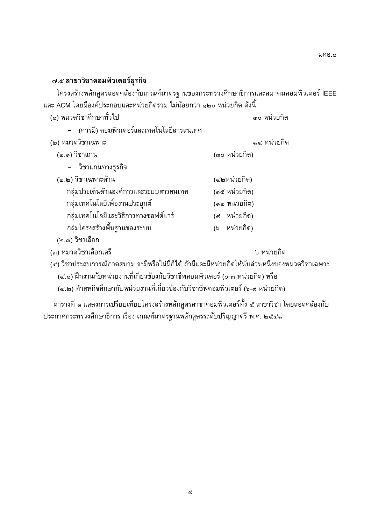#### ๗.๕ สาขาวิชาคอมพิวเตอร์ธุรกิจ

โครงสร้างหลักสูตรสอดคล้องกับเกณฑ์มาตรฐานของกระทรวงศึกษาธิการและสมาคมคอมพิวเตอร์ IEEE และ ACM โดยมีองค์ประกอบและหน่วยกิตรวม ไม่น้อยกว่า ๑๒๐ หน่วยกิต ดังนี้ (๑) หมวดวิชาศึกษาทั่วไป ๓๐ หน่วยกิต

- (ควรมี) คอมพิวเตอร์และเทคโนโลยีสารสนเทศ

| (๒) หมวดวิชาเฉพาะ                                                              | ุ ๘๔ หน่วยกิต   |
|--------------------------------------------------------------------------------|-----------------|
| (๒.๑) วิชาแกน                                                                  | (๓๐ หน่วยกิต)   |
| - วิชาแกนทางธุรกิจ                                                             |                 |
| (๒.๒) วิชาเฉพาะด้าน                                                            | (๔๒หน่วยกิต)    |
| กลุ่มประเด็นด้านองค์การและระบบสารสนเทศ                                         | (๑๕ หน่วยกิต)   |
| ึกลุ่มเทคโนโลยีเพื่องานประยุกต์                                                | (๑๒ หน่วยกิต)   |
| ึกล่มเทคโนโลยีและวิธีการทางซอฟต์แวร์                                           | (๙ หน่วยกิต)    |
| กลุ่มโครงสร้างพื้นฐานของระบบ                                                   | หน่วยกิต)<br>(৯ |
| $\mathcal{L}$ $\mathbb{R}$ $\mathbb{R}$ $\mathbb{R}$ $\mathbb{R}$ $\mathbb{R}$ |                 |

(๒.๓) วิชาเลือก

(๓) หมวดวิชาเลือกเสรี

๖ หน่วยกิต

(๔) วิชาประสบการณ์ภาคสนาม จะมีหรือไม่มีก็ได้ ถ้ามีและมีหน่วยกิตให้นับส่วนหนึ่งของหมวดวิชาเฉพาะ

(๔.๑) ฝึกงานกับหน่วยงานที่เกี่ยวข้องกับวิชาชีพคอมพิวเตอร์ (๐-๓ หน่วยกิต) หรือ

(๔.๒) ทำสหกิจศึกษากับหน่วยงานที่เกี่ยวข้องกับวิชาชีพคอมพิวเตอร์ (๖-๙ หน่วยกิต)

ีตารางที่ ๑ แสดงการเปรียบเทียบโครงสร้างหลักสูตรสาขาคอมพิวเตอร์ทั้ง ๕ สาขาวิชา โดยสอดคล้องกับ ประกาศกระทรวงศึกษาธิการ เรื่อง เกณฑ์มาตรฐานหลักสูตรระดับปริญญาตรี พ.ศ. ๒๕๔๘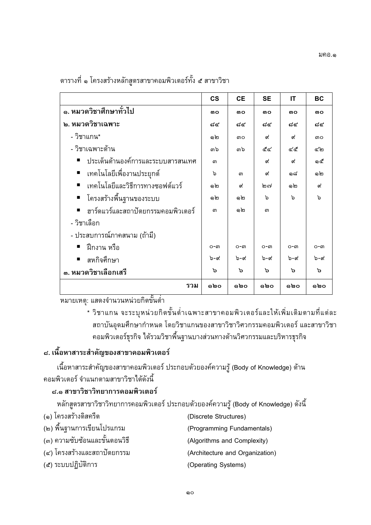|                                                   | $\mathsf{cs}$ | <b>CE</b> | <b>SE</b>    | IT           | <b>BC</b>     |
|---------------------------------------------------|---------------|-----------|--------------|--------------|---------------|
| ๑. หมวดวิชาศึกษาทั่วไป                            | MO.           | mΟ        | MO.          | <b>MO</b>    | <b>MO</b>     |
| ๒. หมวดวิชาเฉพาะ                                  | ದ⊄            | ದ⊄        | ದ⊄           | ದ⊄           | ದ⊄            |
| - วิชาแกน*                                        | ඹෙ            | ៣o        | ๙            | ๙            | <b>MO</b>     |
| - วิชาเฉพาะด้าน                                   | ຓఏ            | ຓ๖        | ๕๔           | ๔๕           | ഭിപ           |
| ประเด็นด้านองค์การและระบบสารสนเทศ                 | ണ             |           | ๙            | ๙            | ෧๕            |
| เทคโนโลยีเพื่องานประยุกต์                         | ৯             | ണ         | ๙            | ෧෬           | @ ්ෆ          |
| เทคโนโลยีและวิธีการทางซอฟต์แวร์<br>$\blacksquare$ | ඹෙ            | ๙         | ിഇ ബ∕        | මෙ           | ๙             |
| ■ โครงสร้างพื้นฐานของระบบ                         | ඹෙ            | ඹෙ        | ৯            | ৯            | $\mathcal{P}$ |
| ฮาร์ดแวร์และสถาปัตยกรรมคอมพิวเตอร์                | ଳ             | ඹෙ        | <sub>ណ</sub> |              |               |
| - วิชาเลือก                                       |               |           |              |              |               |
| - ประสบการณ์ภาคสนาม (ถ้ามี)                       |               |           |              |              |               |
| ้ ฝึกงาน หรือ                                     | $O - \Omega$  | ഠ-ഩ       | $O - \Omega$ | $O - \Omega$ | ഠ-ഩ           |
| สหกิจศึกษา                                        | ৯-๙           | ৯-๙       | ৯-প          | ৯-๙          | ৯-๙           |
| ๓. หมวดวิชาเลือกเสรี                              | ১             | ৯         | ১            | ৯            | ৯             |
| รวม                                               | ໑២໐           | ໑២໐       | ໑២໐          | ໑២໐          | ໑២໐           |

 $\mathbf{q}$ 

-- -

: 2+!G-9 5&F =G า<br>สถาบับออบสื่อนากำหบอ โดยวิชาแอบของสาขาวิชาวิสากรรบคอบพิวเตอร์ และสาขาวิชา ดวงเพิ่วเตอร์รรถิว ได้รวงเวิชาพื้นรวงเงเวงส่วงเทางด้วงเวิศวกรรมแอะงเริงงา  $5552$  $\mathbf{q}$  $\frac{d^2}{2}$ 

## ๘. เนื้อหาสาระสำคัญของสาขาคอมพิวเตอร์

ติวเตอร์ จำแบกตามสาขาวิชาใจ้ดังนี้  $\frac{9}{4}$  (exception of  $\frac{3}{4}$ )

# ี ๘.๑ สาขาวิชาวิทยาการคอมพิวเตอร์

 $\frac{q}{1}$ ,  $\frac{1}{2}$ ,  $\frac{1}{2}$ ,  $\frac{1}{2}$ ,  $\frac{1}{2}$ ,  $\frac{1}{2}$ ,  $\frac{1}{2}$ ,  $\frac{1}{2}$ ,  $\frac{1}{2}$ ,  $\frac{1}{2}$ ,  $\frac{1}{2}$ ,  $\frac{1}{2}$ ,  $\frac{1}{2}$ ,  $\frac{1}{2}$ ,  $\frac{1}{2}$ ,  $\frac{1}{2}$ ,  $\frac{1}{2}$ ,  $\frac{1}{2}$ ,  $\frac{1}{2}$ ,  $\frac{1}{2}$ ,

- (๑) โครงสร้างดิสครีต
- (๒) พื้นจานการเขียนโปรแกรม
- (๓) ความซับซ้อนและขั้นตอนวิธี
- (−) โครงสร้า เบาะสถาปีคะ<br>(→) โครงสร้า เบาะสถาปีคะ
- $(3)$  seems the contract  $(5)$  $($ -- $)$   $\cdot$ - $-$ - $=$  $\frac{1}{60}$
- (Discrete Structures)<br>(Programming Fundamentals)
	-
- (Algorithms and Complexity)
- (Architecture and Organization)
- (Operating Systems)  $\left($  -perantig systems)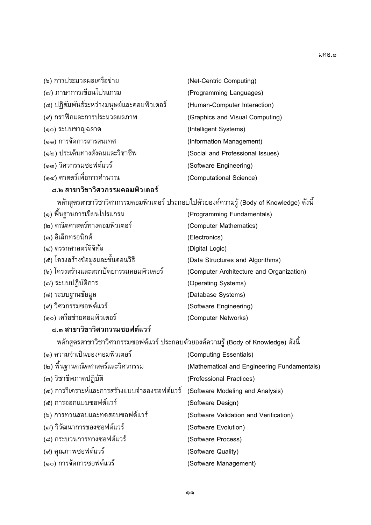| (๖) การประมวลผลเครือข่าย                   | (Net-Centric Computing)          |
|--------------------------------------------|----------------------------------|
| (๗) ภาษาการเขียนโปรแกรม                    | (Programming Languages)          |
| (๘) ปฏิสัมพันธ์ระหว่างมนุษย์และคอมพิวเตอร์ | (Human-Computer Interaction)     |
| (๙) กราฟิกและการประมวลผลภาพ                | (Graphics and Visual Computing)  |
| (๑๐) ระบบชาญฉลาด                           | (Intelligent Systems)            |
| (๑๑) การจัดการสารสนเทศ                     | (Information Management)         |
| (๑๒) ประเด็นทางสังคมและวิชาชีพ             | (Social and Professional Issues) |
| (๑๓) วิศวกรรมซอฟต์แวร์                     | (Software Engineering)           |
| (๑๔) ศาสตร์เพื่อการคำนวณ                   | (Computational Science)          |
| ๘.๒ สาขาวิชาวิศวกรรมคอมพิวเตอร์            |                                  |

|                                        | ึ้นผู้แข็งเริ่ม เว็บ เริ่ม เริ่มเริ่มกรรมเดิน ระดับการ บาระเเถิน การเกิดวันไม่ รายวิ่ง (DOOA OI UIOMIGOGE) ผาพ |
|----------------------------------------|----------------------------------------------------------------------------------------------------------------|
| (๑) พื้นฐานการเขียนโปรแกรม             | (Programming Fundamentals)                                                                                     |
| (๒) คณิตศาสตร์ทางคอมพิวเตอร์           | (Computer Mathematics)                                                                                         |
| (๓) อิเล็กทรอนิกส์                     | (Electronics)                                                                                                  |
| (๔) ตรรกศาสตร์ดิจิทัล                  | (Digital Logic)                                                                                                |
| (๕) โครงสร้างข้อมูลและขั้นตอนวิธี      | (Data Structures and Algorithms)                                                                               |
| (๖) โครงสร้างและสถาปัตยกรรมคอมพิวเตอร์ | (Computer Architecture and Organization)                                                                       |
| (๗) ระบบปฎิบัติการ                     | (Operating Systems)                                                                                            |
| (๘) ระบบฐานข้อมูล                      | (Database Systems)                                                                                             |
| (๙) วิศวกรรมซอฟต์แวร์                  | (Software Engineering)                                                                                         |
| (๑๐) เครือข่ายคอมพิวเตอร์              | (Computer Networks)                                                                                            |
| ๘.๓ สาขาวิชาวิศวกรรมซอฟต์แวร์          |                                                                                                                |

| (๑) ความจำเป็นของคอมพิวเตอร์                 | (Computing Essentials)                      |
|----------------------------------------------|---------------------------------------------|
| (๒) พื้นฐานคณิตศาสตร์และวิศวกรรม             | (Mathematical and Engineering Fundamentals) |
| (๓) วิชาชีพภาคปฏิบัติ                        | (Professional Practices)                    |
| (๔) การวิเคราะห์และการสร้างแบบจำลองซอฟต์แวร์ | (Software Modeling and Analysis)            |
| (๕) การออกแบบซอฟต์แวร์                       | (Software Design)                           |
| (๖) การทวนสอบและทดสอบซอฟต์แวร์               | (Software Validation and Verification)      |
| (๗) วิวัฒนาการของซอฟต์แวร์                   | (Software Evolution)                        |
| (๘) กระบวนการทางซอฟต์แวร์                    | (Software Process)                          |
| (๙) คุณภาพซอฟต์แวร์                          | (Software Quality)                          |
| (๑๐) การจัดการซอฟต์แวร์                      | (Software Management)                       |
|                                              |                                             |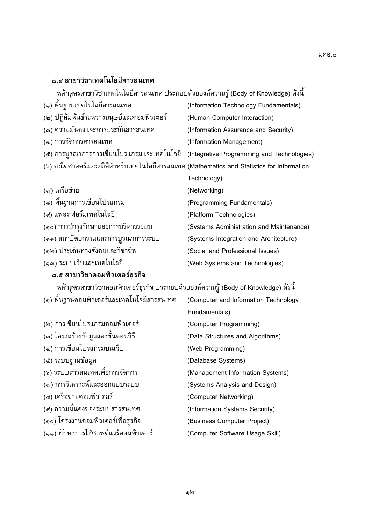# ี ๘.๔ สาขาวิชาเทคโนโลยีสารสนเทศ

| หลักสูตรสาขาวิชาเทคโนโลยีสารสนเทศ ประกอบด้วยองค์ความรู้ (Body of Knowledge) ดังนี้        |                                            |
|-------------------------------------------------------------------------------------------|--------------------------------------------|
| (๑) พื้นฐานเทคโนโลยีสารสนเทศ                                                              | (Information Technology Fundamentals)      |
| (๒) ปฏิสัมพันธ์ระหว่างมนุษย์และคอมพิวเตอร์                                                | (Human-Computer Interaction)               |
| (๓) ความมั่นคงและการประกันสารสนเทศ                                                        | (Information Assurance and Security)       |
| (๔) การจัดการสารสนเทศ                                                                     | (Information Management)                   |
| (๕) การบูรณาการการเขียนโปรแกรมและเทคโนโลยี                                                | (Integrative Programming and Technologies) |
| (๖) คณิตศาสตร์และสถิติสำหรับเทคโนโลยีสารสนเทศ (Mathematics and Statistics for Information |                                            |
|                                                                                           | Technology)                                |
| (๗) เครือข่าย                                                                             | (Networking)                               |
| (๘) พื้นฐานการเขียนโปรแกรม                                                                | (Programming Fundamentals)                 |
| (๙) แพลตฟอร์มเทคโนโลยี                                                                    | (Platform Technologies)                    |
| (๑๐) การบำรุงรักษาและการบริหารระบบ                                                        | (Systems Administration and Maintenance)   |
| (๑๑) สถาปัตยกรรมและการบูรณาการระบบ                                                        | (Systems Integration and Architecture)     |
| (๑๒) ประเด็นทางสังคมและวิชาชีพ                                                            | (Social and Professional Issues)           |
| (๑๓) ระบบเว็บและเทคโนโลยี                                                                 | (Web Systems and Technologies)             |
| ๘.๕ สาขาวิชาคอมพิวเตอร์ธรกิจ                                                              |                                            |

| หลักสูตรสาขาวิชาคอมพิวเตอร์ธุรกิจ ประกอบด้วยองค์ความรู้ (Body of Knowledge) ดังนี้ |                                      |  |
|------------------------------------------------------------------------------------|--------------------------------------|--|
| (๑) พื้นฐานคอมพิวเตอร์และเทคโนโลยีสารสนเทศ                                         | (Computer and Information Technology |  |
|                                                                                    | Fundamentals)                        |  |
| (๒) การเขียนโปรแกรมคอมพิวเตอร์                                                     | (Computer Programming)               |  |
| (๓) โครงสร้างข้อมูลและขั้นตอนวิธี                                                  | (Data Structures and Algorithms)     |  |
| (๔) การเขียนโปรแกรมบนเว็บ                                                          | (Web Programming)                    |  |
| (๕) ระบบฐานข้อมูล                                                                  | (Database Systems)                   |  |
| (๖) ระบบสารสนเทศเพื่อการจัดการ                                                     | (Management Information Systems)     |  |
| (๗) การวิเคราะห์และออกแบบระบบ                                                      | (Systems Analysis and Design)        |  |
| (๘) เครือข่ายคอมพิวเตอร์                                                           | (Computer Networking)                |  |
| (๙) ความมั่นคงของระบบสารสนเทศ                                                      | (Information Systems Security)       |  |
| (๑๐) โครงงานคอมพิวเตอร์เพื่อธุรกิจ                                                 | (Business Computer Project)          |  |
| (๑๑) ทักษะการใช้ซอฟต์แวร์คอมพิวเตอร์                                               | (Computer Software Usage Skill)      |  |
|                                                                                    |                                      |  |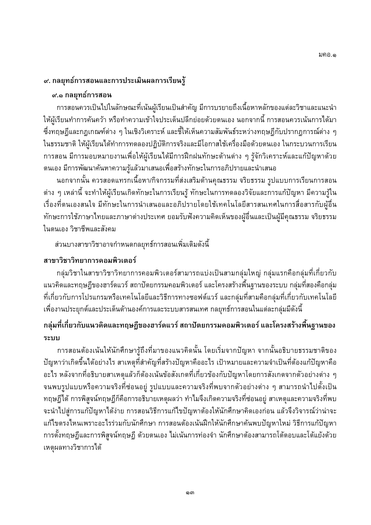#### ี่ ๙. กลยุทธ์การสอนและการประเมินผลการเรียนรู้

## ๙.๑ กลยุทธ์การสอน

้การสอนควรเป็นไปในลักษณะที่เน้นผู้เรียนเป็นสำคัญ มีการบรยายถึงเนื้อหาหลักของแต่ละวิชาและแนะนำ ให้ผู้เรียนทำการค้นคว้า หรือทำความเข้าใจประเด็นปลีกย่อยด้วยตนเอง นอกจากนี้ การสอนควรเน้นการได้มา ่ ซึ่งทฤษฎีและกฎเกณฑ์ต่าง ๆ ในเชิงวิเคราะห์ และชี้ให้เห็นความสัมพันธ์ระหว่างทฤษฎีกับปรากฏการณ์ต่าง ๆ ในธรรมชาติ ให้ผู้เรียนได้ทำการทดลองปฏิบัติการจริงและมีโอกาสใช้เครื่องมือด้วยตนเอง ในกระบวนการเรียน ้การสอน มีการมอบหมายงานเพื่อให้ผู้เรียนได้มีการฝึกฝนทักษะด้านต่าง ๆ รู้จักวิเคราะห์และแก้ปัญหาด้วย ิตนเอง มีการพัฒนาค้นหาความรู้แล้วมาเสนอเพื่อสร้างทักษะในการอภิปรายและนำเสนอ

้นอกจากนั้น ควรสอดแทรกเนื้อหา/กิจกรรมที่ส่งเสริมด้านคุณธรรม จริยธรรม รูปแบบการเรียนการสอน ี่ ต่าง ๆ เหล่านี้ จะทำให้ผู้เรียนเกิดทักษะในการเรียนรู้ ทักษะในการทดลองวิจัยและการแก้ปัญหา มีความรู้ใน ้เรื่องที่ตนเองสนใจ มีทักษะในการนำเสนอและอภิปรายโดยใช้เทคโนโลยีสารสนเทศในการสื่อสารกับผู้อื่น ้ทักษะการใช้ภาษาไทยและภาษาต่างประเทศ ยอมรับฟังความคิดเห็นของผู้อื่นและเป็นผู้มีคุณธรรม จริยธรรม ในตนเอง วิชาชีพและสังคม

ส่วนบางสาขาวิชาอาจกำหนดกลยุทธ์การสอนเพิ่มเติมดังนี้

## สาขาวิชาวิทยาการคอมพิวเตอร์

ึกลุ่มวิชาในสาขาวิชาวิทยาการคอมพิวเตอร์สามารถแบ่งเป็นสามกลุ่มใหญ่ กลุ่มแรกคือกลุ่มที่เกี่ยวกับ แนวคิดและทฤษฎีของฮาร์ดแวร์ สถาปัตยกรรมคอมพิวเตอร์ และโครงสร้างพื้นฐานของระบบ กลุ่มที่สองคือกลุ่ม ี่ที่เกี่ยวกับการโปรแกรมหรือเทคโนโลยีและวิธีการทางซอฟต์แวร์ และกลุ่มที่สามคือกลุ่มที่เกี่ยวกับเทคโนโลยี ้เพื่องานประยุกต์และประเด็นด้านองค์การและระบบสารสนเทศ กลยุทธ์การสอนในแต่ละกลุ่มมีดังนี้

## ึ กลุ่มที่เกี่ยวกับแนวคิดและทฤษฎีของฮาร์ดแวร์ สถาปัตยกรรมคอมพิวเตอร์ และโครงสร้างพื้นฐานของ ระบบ

การสอนต้องเน้นให้นักศึกษารู้ถึงที่มาของแนวคิดนั้น โดยเริ่มจากปัญหา จากนั้นอธิบายธรรมชาติของ ปัญหาว่าเกิดขึ้นได้อย่างไร สาเหตุที่สำคัญที่สร้างปัญหาคืออะไร เป้าหมายและความจำเป็นที่ต้องแก้ปัญหาคือ ้อะไร หลังจากที่อธิบายสาเหตุแล้วก็ต้องเน้นข้อสังเกตที่เกี่ยวข้องกับปัญหาโดยการสังเกตจากตัวอย่างต่าง ๆ ้จนพบรูปแบบหรือความจริงที่ซ่อนอยู่ รูปแบบและความจริงที่พบจากตัวอย่างต่าง ๆ สามารถนำไปตั้งเป็น ้ทฤษฎีได้ การพิสูจน์ทฤษฎีก็คือการอธิบายเหตุผลว่า ทำไมจึงเกิดความจริงที่ซ่อนอยู่ สาเหตุและความจริงที่พบ ้จะนำไปสู่การแก้ปัญหาได้ง่าย การสอนวิธีการแก้ไขปัญหาต้องให้นักศึกษาคิดเองก่อน แล้วจึงวิจารณ์ว่าน่าจะ แก้ไขตรงไหนเพราะอะไรร่วมกับนักศึกษา การสอนต้องเน้นฝึกให้นักศึกษาค้นพบปัญหาใหม่ วิธีการแก้ปัญหา ี การตั้งทฤษฎีและการพิสูจน์ทฤษฎี ด้วยตนเอง ไม่เน้นการท่องจำ นักศึกษาต้องสามารถโต้ตอบและโต้แย้งด้วย เหตุผลทางวิชาการได้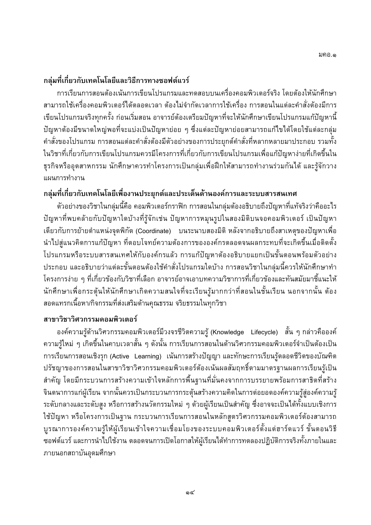## ึ กลุ่มที่เกี่ยวกับเทคโนโลยีและวิธีการทางซอฟต์แวร์

้การเรียนการสอนต้องเน้นการเขียนโปรแกรมและทดสอบบนเครื่องคอมพิวเตอร์จริง โดยต้องให้นักศึกษา ี่สามารถใช้เครื่องคอมพิวเตอร์ได้ตลอดเวลา ต้องไม่จำกัดเวลาการใช้เครื่อง การสอนในแต่ละคำสั่งต้องมีการ เขียนโปรแกรมจริงทุกครั้ง ก่อนเริ่มสอน อาจารย์ต้องเตรียมปัญหาที่จะให้นักศึกษาเขียนโปรแกรมแก้ปัญหานี้ ้ปัญหาต้องมีขนาดใหญ่พอที่จะแบ่งเป็นปัญหาย่อย ๆ ซึ่งแต่ละปัญหาย่อยสามารถแก้ไขได้โดยใช้แต่ละกลุ่ม ้คำสั่งของโปรแกรม การสอนแต่ละคำสั่งต้องมีตัวอย่างของการประยุกต์คำสั่งที่หลากหลายมาประกอบ รวมทั้ง ในวิชาที่เกี่ยวกับการเขียนโปรแกรมควรมีโครงการที่เกี่ยวกับการเขียนโปรแกรมเพื่อแก้ปัญหาง่ายที่เกิดขึ้นใน ธุรกิจหรืออุตสาหกรรม นักศึกษาควรทำโครงการเป็นกลุ่มเพื่อฝึกให้สามารถทำงานร่วมกันได้ และรู้จักวาง แผนการทำงาน

## ึกลุ่มที่เกี่ยวกับเทคโนโลยีเพื่องานประยุกต์และประเด็นด้านองค์การและระบบสารสนเทศ

้ตัวอย่างของวิชาในกลุ่มนี้คือ คอมพิวเตอร์กราฟิก การสอนในกลุ่มต้องอธิบายถึงปัญหาที่แท้จริงว่าคืออะไร ้ปัญหาที่พบคล้ายกับปัญหาใดบ้างที่รู้จักเช่น ปัญหาการหมุนรูปในสองมิติบนจอคอมพิวเตอร์ เป็นปัญหา ้เดียวกับการย้ายตำแหน่งจุดพิกัด (Coordinate) บนระนาบสองมิติ หลังจากอธิบายถึงสาเหตุของปัญหาเพื่อ ่ นำไปสู่แนวคิดการแก้ปัญหา ที่ตอบโจทย์ความต้องการขององค์กรตลอดจนผลกระทบที่จะเกิดขึ้นเมื่อติดตั้ง โปรแกรมหรือระบบสารสนเทศให้กับองค์กรแล้ว การแก้ปัญหาต้องอธิบายแยกเป็นขั้นตอนพร้อมตัวอย่าง ประกอบ และอธิบายว่าแต่ละขั้นตอนต้องใช้คำสั่งโปรแกรมใดบ้าง การสอนวิชาในกลุ่มนี้ควรให้นักศึกษาทำ โครงการง่าย ๆ ที่เกี่ยวข้องกับวิชาที่เลือก อาจารย์อาจเอาบทความวิชาการที่เกี่ยวข้องและทันสมัยมาชี้แนะให้ นักศึกษาเพื่อกระตุ้นให้นักศึกษาเกิดความสนใจที่จะเรียนรู้มากกว่าที่สอนในชั้นเรียน นอกจากนั้น ต้อง สอดแทรกเนื้อหา/กิจกรรมที่ส่งเสริมด้านคุณธรรม จริยธรรมในทุกวิชา

## สาขาวิชาวิศวกรรมคอมพิวเตอร์

ื่องค์ความรู้ด้านวิศวกรรมคอมพิวเตอร์มีวงจรชีวิตความรู้ (Knowledge Lifecycle) สั้น ๆ กล่าวคือองค์ ้ความรู้ใหม่ ๆ เกิดขึ้นในคาบเวลาสั้น ๆ ดังนั้น การเรียนการสอนในด้านวิศวกรรมคอมพิวเตอร์จำเป็นต้องเป็น การเรียนการสอนเชิงรุก (Active Learning) เน้นการสร้างปัญญา และทักษะการเรียนรู้ตลอดชีวิตของบัณฑิต ปรัชญาของการสอนในสาขาวิชาวิศวกรรมคอมพิวเตอร์ต้องเน้นผลสัมฤทธิ์ตามมาตรฐานผลการเรียนรู้เป็น ้สำคัญ โดยมีกระบวนการสร้างความเข้าใจหลักการพื้นฐานที่มั่นคงจากการบรรยายพร้อมการสาธิตที่สร้าง ี่ จินตนาการแก่ผู้เรียน จากนั้นควรเป็นกระบวนการกระตุ้นสร้างความคิดในการต่อยอดองค์ความรู้สู่องค์ความรู้ ้ระดับกลางและระดับสูง หรือการสร้างนวัตกรรมใหม่ ๆ ด้วยผู้เรียนเป็นสำคัญ ซึ่งอาจจะเป็นได้ทั้งแบบเชิงการ ใช้ปัญหา หรือโครงการเป็นฐาน กระบวนการเรียนการสอนในหลักสูตรวิศวกรรมคอมพิวเตอร์ต้องสามารถ บูรณาการองค์ความรู้ให้ผู้เรียนเข้าใจความเชื่อมโยงของระบบคอมพิวเตอร์ตั้งแต่ฮาร์ดแวร์ ขั้นตอนวิธี ี ซอฟต์แวร์ และการนำไปใช้งาน ตลอดจนการเปิดโอกาสให้ผู้เรียนได้ทำการทดลองปฏิบัติการจริงทั้งภายในและ ภายนอกสถาบันอุดมศึกษา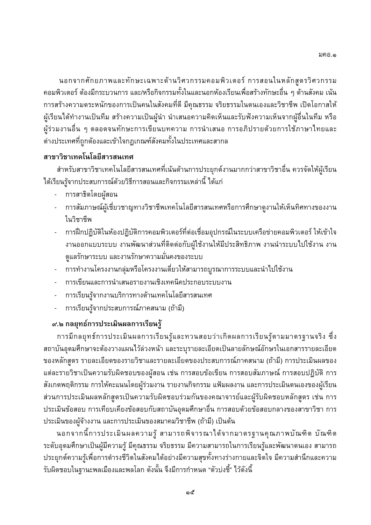นอกจากศักยภาพและทักษะเฉพาะด้านวิศวกรรมคอมพิวเตอร์ การสอนในหลักสูตรวิศวกรรม ี คอมพิวเตอร์ ต้องมีกระบวนการ และ/หรือกิจกรรมทั้งในและนอกห้องเรียนเพื่อสร้างทักษะอื่น ๆ ด้านสังคม เน้น ้การสร้างความตระหนักของการเป็นคนในสังคมที่ดี มีคุณธรรม จริยธรรมในตนเองและวิชาชีพ เปิดโอกาสให้ ผู้เรียนได้ทำงานเป็นทีม สร้างความเป็นผู้นำ นำเสนอความคิดเห็นและรับฟังความเห็นจากผู้อื่นในทีม หรือ ้ผู้ร่วมงานอื่น ๆ ตลอดจนทักษะการเขียนบทความ การนำเสนอ การอภิปรายด้วยการใช้ภาษาไทยและ ้ต่างประเทศที่ถูกต้องและเข้าใจกฎเกณฑ์สังคมทั้งในประเทศและสากล

## สาขาวิชาเทคโนโลยีสารสนเทศ

้สำหรับสาขาวิชาเทคโนโลยีสารสนเทศที่เน้นด้านการประยุกต์งานมากกว่าสาขาวิชาอื่น ควรจัดให้ผู้เรียน ได้เรียนรู้จากประสบการณ์ด้วยวิธีการสอนและกิจกรรมเหล่านี้ ได้แก่

- การสาธิตโดยผัสอน
- การสัมภาษณ์ผู้เชี่ยวชาญทางวิชาชีพเทคโนโลยีสารสนเทศหรือการศึกษาดูงานให้เห็นทิศทางของงาน ในวิชาชีพ
- การฝึกปฏิบัติในห้องปฏิบัติการคอมพิวเตอร์ที่ต่อเชื่อมอุปกรณ์ในระบบเครือข่ายคอมพิวเตอร์ ให้เข้าใจ งานออกแบบระบบ งานพัฒนาส่วนที่ติดต่อกับผู้ใช้งานให้มีประสิทธิภาพ งานนำระบบไปใช้งาน งาน ้ดูแลรักษาระบบ และงานรักษาความมั่นคงของระบบ
- ้ การทำงานโครงงานกลุ่มหรือโครงงานเดี่ยวให้สามารถบูรณาการระบบและนำไปใช้งาน
- การเขียนและการนำเสนอรายงานเชิงเทคนิคประกอบระบบงาน
- การเรียนรู้จากงานบริการทางด้านเทคโนโลยีสารสนเทศ
- การเรียนรู้จากประสบการณ์ภาคสนาม (ถ้ามี)

## ๙.๒ กลยุทธ์การประเมินผลการเรียนรู้

ึการมีกลยุทธ์การประเมินผลการเรียนรู้และทวนสอบว่าเกิดผลการเรียนรู้ตามมาตรฐานจริง ซึ่ง ิสถาบันอุดมศึกษาจะต้องวางแผนไว้ล่วงหน้า และระบุรายละเอียดเป็นลายลักษณ์อักษรในเอกสารรายละเอียด ของหลักสูตร รายละเอียดของรายวิชาและรายละเอียดของประสบการณ์ภาคสนาม (ถ้ามี) การประเมินผลของ แต่ละรายวิชาเป็นความรับผิดชอบของผู้สอน เช่น การสอบข้อเขียน การสอบสัมภาษณ์ การสอบปฏิบัติ การ ้สังเกตพฤติกรรม การให้คะแนนโดยผู้ร่วมงาน รายงานกิจกรรม แฟ้มผลงาน และการประเมินตนเองของผู้เรียน ส่วนการประเมินผลหลักสูตรเป็นความรับผิดชอบร่วมกันของคณาจารย์และผู้รับผิดชอบหลักสูตร เช่น การ ประเมินข้อสอบ การเทียบเคียงข้อสอบกับสถาบันอุดมศึกษาอื่น การสอบด้วยข้อสอบกลางของสาขาวิชา การ ประเมินของผู้จ้างงาน และการประเมินของสมาคมวิชาชีพ (ถ้ามี) เป็นต้น

ึนอกจากนี้การประเมินผลความรู้ สามารถพิจารณาได้จากมาตรฐานคุณภาพบัณฑิต บัณฑิต ระดับอุดมศึกษาเป็นผู้มีความรู้ มีคุณธรรม จริยธรรม มีความสามารถในการเรียนรู้และพัฒนาตนเอง สามารถ ประยุกต์ความรู้เพื่อการดำรงชีวิตในสังคมได้อย่างมีความสุขทั้งทางร่างกายและจิตใจ มีความสำนึกและความ ้รับผิดชอบในฐานะพลเมืองและพลโลก ดังนั้น จึงมีการกำหนด "ตัวบ่งชี้" ไว้ดังนี้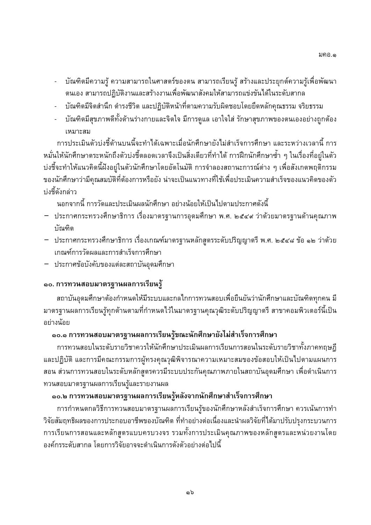- บัณฑิตมีความรู้ ความสามารถในศาสตร์ของตน สามารถเรียนรู้ สร้างและประยุกต์ความรู้เพื่อพัฒนา ้ตนเอง สามารถปฏิบัติงานและสร้างงานเพื่อพัฒนาสังคมให้สามารถแข่งขันได้ในระดับสากล
- บัณฑิตมีจิตสำนึก ดำรงชีวิต และปฏิบัติหน้าที่ตามความรับผิดชอบโดยยึดหลักคุณธรรม จริยธรรม
- บัณฑิตมีสุขภาพดีทั้งด้านร่างกายและจิตใจ มีการดูแล เอาใจใส่ รักษาสุขภาพของตนเองอย่างถูกต้อง เหมาะสม

้การประเมินตัวบ่งชี้ด้านบนนี้จะทำได้เฉพาะเมื่อนักศึกษายังไม่สำเร็จการศึกษา และระหว่างเวลานี้ การ หมั่นให้นักศึกษาตระหนักถึงตัวบ่งชี้ตลอดเวลาจึงเป็นสิ่งเดียวที่ทำได้ การฝึกนักศึกษาซ้ำ ๆ ในเรื่องที่อยู่ในตัว ้บ่งชี้จะทำให้แนวคิดนี้ฝังอยู่ในตัวนักศึกษาโดยอัตโนมัติ การจำลองสถานะการณ์ต่าง ๆ เพื่อสังเกตพฤติกรรม ของนักศึกษาว่ามีคุณสมบัติที่ต้องการหรือยัง น่าจะเป็นแนวทางที่ใช้เพื่อประเมินความสำเร็จของแนวคิดของตัว บ่งชี้ดังกล่าว

้นอกจากนี้ การวัดและประเมินผลนักศึกษา อย่างน้อยให้เป็นไปตามประกาศดังนี้

- ี ประกาศกระทรวงศึกษาธิการ เรื่องมาตรฐานการอุดมศึกษา พ.ศ. ๒๕๔๙ ว่าด้วยมาตรฐานด้านคุณภาพ บัณฑิต
- ประกาศกระทรวงศึกษาธิการ เรื่องเกณฑ์มาตรฐานหลักสูตรระดับปริญญาตรี พ.ศ. ๒๕๔๘ ข้อ ๑๒ ว่าด้วย เกณฑ์การวัดผลและการสำเร็จการศึกษา
- ประกาศข้อบังคับของแต่ละสถาบันอุดมศึกษา

## ี ๑๐. การทวนสอบมาตรฐานผลการเรียนรู้

ี่สถาบันอุดมศึกษาต้องกำหนดให้มีระบบและกลไกการทวนสอบเพื่อยืนยันว่านักศึกษาและบัณฑิตทุกคน มี ้มาตรฐานผลการเรียนรู้ทุกด้านตามที่กำหนดไว้ในมาตรฐานคุณวุฒิระดับปริญญาตรี สาขาคอมพิวเตอร์นี้เป็น อย่างน้อย

## ๑๐.๑ การทวนสอบมาตรฐานผลการเรียนรู้ขณะนักศึกษายังไม่สำเร็จการศึกษา

้การทวนสอบในระดับรายวิชาควรให้นักศึกษาประเมินผลการเรียนการสอนในระดับรายวิชาทั้งภาคทฤษฎี และปฏิบัติ และการมีคณะกรรมการผู้ทรงคุณวุฒิพิจารณาความเหมาะสมของข้อสอบให้เป็นไปตามแผนการ ี สอน ส่วนการทวนสอบในระดับหลักสูตรควรมีระบบประกันคุณภาพภายในสถาบันอุดมศึกษา เพื่อดำเนินการ ทวนสอบมาตรฐานผลการเรียนรู้และรายงานผล

## ๑๐.๒ การทวนสอบมาตรฐานผลการเรียนรู้หลังจากนักศึกษาสำเร็จการศึกษา

การกำหนดกลวิธีการทวนสอบมาตรฐานผลการเรียนรู้ของนักศึกษาหลังสำเร็จการศึกษา ควรเน้นการทำ วิจัยสัมฤทธิผลของการประกอบอาชีพของบัณฑิต ที่ทำอย่างต่อเนื่องและนำผลวิจัยที่ได้มาปรับปรุงกระบวนการ ี การเรียนการสอนและหลักสูตรแบบครบวงจร รวมทั้งการประเมินคุณภาพของหลักสูตรและหน่วยงานโดย ้องค์กรระดับสากล โดยการวิจัยอาจจะดำเนินการดังตัวอย่างต่อไปนี้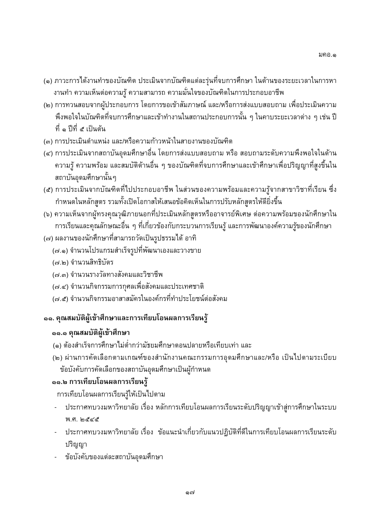- (๑) ภาวะการได้งานทำของบัณฑิต ประเมินจากบัณฑิตแต่ละรุ่นที่จบการศึกษา ในด้านของระยะเวลาในการหา ้งานทำ ความเห็นต่อความรู้ ความสามารถ ความมั่นใจของบัณฑิตในการประกอบอาชีพ
- (๒) การทวนสอบจากผู้ประกอบการ โดยการขอเข้าสัมภาษณ์ และ/หรือการส่งแบบสอบถาม เพื่อประเมินความ ้พึงพอใจในบัณฑิตที่จบการศึกษาและเข้าทำงานในสถานประกอบการนั้น ๆ ในคาบระยะเวลาต่าง ๆ เช่น ปี ที่ ๑ ปีที่ ๕ เป็นต้น
- (๓) การประเมินตำแหน่ง และ/หรือความก้าวหน้าในสายงานของบัณฑิต
- (๔) การประเมินจากสถาบันอุดมศึกษาอื่น โดยการส่งแบบสอบถาม หรือ สอบถามระดับความพึงพอใจในด้าน ี ความรู้ ความพร้อม และสมบัติด้านอื่น ๆ ของบัณฑิตที่จบการศึกษาและเข้าศึกษาเพื่อปริญญาที่สูงขึ้นใน สถาบันอุดมศึกษานั้นๆ
- (๕) การประเมินจากบัณฑิตที่ไปประกอบอาชีพ ในส่วนของความพร้อมและความรู้จากสาขาวิชาที่เรียน ซึ่ง ้กำหนดในหลักสูตร รวมทั้งเปิดโอกาสให้เสนอข้อคิดเห็นในการปรับหลักสูตรให้ดียิ่งขึ้น
- (๖) ความเห็นจากผู้ทรงคุณวุฒิภายนอกที่ประเมินหลักสูตรหรืออาจารย์พิเศษ ต่อความพร้อมของนักศึกษาใน ึการเรียนและคุณลักษณะอื่น ๆ ที่เกี่ยวข้องกับกระบวนการเรียนรู้ และการพัฒนาองค์ความรู้ของนักศึกษา
- (๗) ผลงานของนักศึกษาที่สามารถวัดเป็นรูปธรรมได้ อาทิ
	- (๗.๑) จำนวนโปรแกรมสำเร็จรูปที่พัฒนาเองและวางขาย
	- (๗.๒) จำนวนสิทธิบัตร
	- (๗.๓) จำนวนรางวัลทางสังคมและวิชาชีพ
	- (๗.๔) จำนวนกิจกรรมการกุศลเพื่อสังคมและประเทศชาติ
	- (๗.๕) จำนวนกิจกรรมอาสาสมัครในองค์กรที่ทำประโยชน์ต่อสังคม

## ึ ๑๑. คุณสมบัติผู้เข้าศึกษาและการเทียบโอนผลการเรียนรู้

## ๑๑.๑ คุณสมบัติผู้เข้าศึกษา

- (๑) ต้องสำเร็จการศึกษาไม่ต่ำกว่ามัธยมศึกษาตอนปลายหรือเทียบเท่า และ
- (๒) ผ่านการคัดเลือกตามเกณฑ์ของสำนักงานคณะกรรมการอุดมศึกษาและ/หรือ เป็นไปตามระเบียบ ข้อบังคับการคัดเลือกของสถาบันอุดมศึกษาเป็นผู้กำหนด

## ๑๑.๒ การเทียบโอนผลการเรียนรู้

การเทียบโอนผลการเรียนรู้ให้เป็นไปตาม

- ประกาศทบวงมหาวิทยาลัย เรื่อง หลักการเทียบโอนผลการเรียนระดับปริญญาเข้าสู่การศึกษาในระบบ พ.ศ. ๒๕๔๕
- ประกาศทบวงมหาวิทยาลัย เรื่อง ข้อแนะนำเกี่ยวกับแนวปฏิบัติที่ดีในการเทียบโอนผลการเรียนระดับ ปริญญา
- ข้อบังคับของแต่ละสถาบันอุดมศึกษา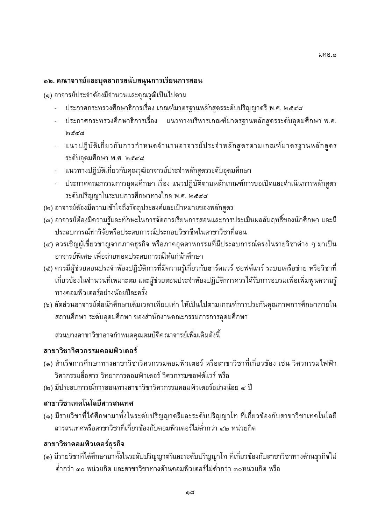#### ึ๑๒. คณาจารย์และบุคลากรสนับสนุนการเรียนการสอน

(๑) อาจารย์ประจำต้องมีจำนวนและคุณวุฒิเป็นไปตาม

- ประกาศกระทรวงศึกษาธิการเรื่อง เกณฑ์มาตรฐานหลักสูตรระดับปริญญาตรี พ.ศ. ๒๕๔๘
- ประกาศกระทรวงศึกษาธิการเรื่อง แนวทางบริหารเกณฑ์มาตรฐานหลักสูตรระดับอุดมศึกษา พ.ศ. । ବୁଦ୍ୟ
- แนวปฏิบัติเกี่ยวกับการกำหนดจำนวนอาจารย์ประจำหลักสูตรตามเกณฑ์มาตรฐานหลักสูตร ระดับอุดมศึกษา พ.ศ. ๒๕๔๘
- แนวทางปฏิบัติเกี่ยวกับคุณวุฒิอาจารย์ประจำหลักสูตรระดับอุดมศึกษา
- ประกาศคณะกรรมการอุดมศึกษา เรื่อง แนวปฏิบัติตามหลักเกณฑ์การขอเปิดและดำเนินการหลักสูตร ระดับปริญญาในระบบการศึกษาทางไกล พ.ศ. ๒๕๔๘
- (๒) อาจารย์ต้องมีความเข้าใจถึงวัตถุประสงค์และเป้าหมายของหลักสูตร
- (๓) อาจารย์ต้องมีความรู้และทักษะในการจัดการเรียนการสอนและการประเมินผลสัมฤทธิ์ของนักศึกษา และมี ประสบการณ์ทำวิจัยหรือประสบการณ์ประกอบวิชาชีพในสาขาวิชาที่สอน
- (๔) ควรเชิญผู้เชี่ยวชาญจากภาคธุรกิจ หรือภาคอุตสาหกรรมที่มีประสบการณ์ตรงในรายวิชาต่าง ๆ มาเป็น ้อาจารย์พิเศษ เพื่อถ่ายทอดประสบการณ์ให้แก่นักศึกษา
- (๕) ควรมีผู้ช่วยสอนประจำห้องปฏิบัติการที่มีความรู้เกี่ยวกับฮาร์ดแวร์ ซอฟต์แวร์ ระบบเครือข่าย หรือวิชาที่ ้เกี่ยวข้องในจำนวนที่เหมาะสม และผู้ช่วยสอนประจำห้องปฏิบัติการควรได้รับการอบรมเพื่อเพิ่มพูนความรู้ ทางคอมพิวเตอร์อย่างน้อยปีละครั้ง
- (๖) สัดส่วนอาจารย์ต่อนักศึกษาเต็มเวลาเทียบเท่า ให้เป็นไปตามเกณฑ์การประกันคุณภาพการศึกษาภายใน ิสถานศึกษา ระดับอุดมศึกษา ของสำนักงานคณะกรรมการการอุดมศึกษา

ส่วนบางสาขาวิชาอาจกำหนดคุณสมบัติคณาจารย์เพิ่มเติมดังนี้

## สาขาวิชาวิศวกรรมคอมพิวเตอร์

- (๑) สำเร็จการศึกษาทางสาขาวิชาวิศวกรรมคอมพิวเตอร์ หรือสาขาวิชาที่เกี่ยวข้อง เช่น วิศวกรรมไฟฟ้า วิศวกรรมสื่อสาร วิทยาการคอมพิวเตอร์ วิศวกรรมซอฟต์แวร์ หรือ
- (๒) มีประสบการณ์การสอนทางสาขาวิชาวิศวกรรมคอมพิวเตอร์อย่างน้อย ๔ ปี

## สาขาวิชาเทคโนโลยีสารสนเทศ

(๑) มีรายวิชาที่ได้ศึกษามาทั้งในระดับปริญญาตรีและระดับปริญญาโท ที่เกี่ยวข้องกับสาขาวิชาเทคโนโลยี ี่สารสนเทศหรือสาขาวิชาที่เกี่ยวข้องกับคอมพิวเตอร์ไม่ต่ำกว่า ๔๒ หน่วยกิต

## สาขาวิชาคอมพิวเตอร์ธุรกิจ

(๑) มีรายวิชาที่ได้ศึกษามาทั้งในระดับปริญญาตรีและระดับปริญญาโท ที่เกี่ยวข้องกับสาขาวิชาทางด้านธุรกิจไม่ ้ต่ำกว่า ๓๐ หน่วยกิต และสาขาวิชาทางด้านคอมพิวเตอร์ไม่ต่ำกว่า ๓๐หน่วยกิต หรือ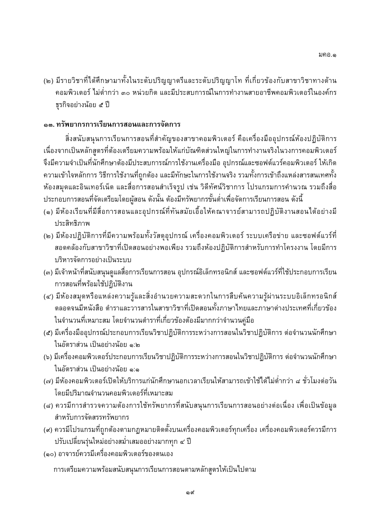(๒) มีรายวิชาที่ได้ศึกษามาทั้งในระดับปริญญาตรีและระดับปริญญาโท ที่เกี่ยวข้องกับสาขาวิชาทางด้าน ้คอมพิวเตอร์ ไม่ต่ำกว่า ๓๐ หน่วยกิต และมีประสบการณ์ในการทำงานสายอาชีพคอมพิวเตอร์ในองค์กร ธรกิจอย่างน้อย ๕ ปี

#### ึด๓. ทรัพยากรการเรียนการสอนและการจัดการ

สิ่งสนับสนุนการเรียนการสอนที่สำคัญของสาขาคอมพิวเตอร์ คือเครื่องมืออุปกรณ์ห้องปฏิบัติการ ้ เนื่องจากเป็นหลักสูตรที่ต้องเตรียมความพร้อมให้แก่บัณฑิตส่วนใหญ่ในการทำงานจริงในวงการคอมพิวเตอร์ จึงมีความจำเป็นที่นักศึกษาต้องมีประสบการณ์การใช้งานเครื่องมือ อุปกรณ์และซอฟต์แวร์คอมพิวเตอร์ ให้เกิด ้ความเข้าใจหลักการ วิธีการใช้งานที่ถูกต้อง และมีทักษะในการใช้งานจริง รวมทั้งการเข้าถึงแหล่งสารสนเทศทั้ง ้ห้องสมุดและอินเทอร์เน็ต และสื่อการสอนสำเร็จรูป เช่น วิดีทัศน์วิชาการ โปรแกรมการคำนวณ รวมถึงสื่อ ประกอบการสอนที่จัดเตรียมโดยผู้สอน ดังนั้น ต้องมีทรัพยากรขั้นต่ำเพื่อจัดการเรียนการสอน ดังนี้

- (๑) มีห้องเรียนที่มีสื่อการสอนและอุปกรณ์ที่ทันสมัยเอื้อให้คณาจารย์สามารถปฏิบัติงานสอนได้อย่างมี ประสิทธิภาพ
- (๒) มีห้องปฏิบัติการที่มีความพร้อมทั้งวัสดุอุปกรณ์ เครื่องคอมพิวเตอร์ ระบบเครือข่าย และซอฟต์แวร์ที่ ี่ สอดคล้องกับสาขาวิชาที่เปิดสอนอย่างพอเพียง รวมถึงห้องปฏิบัติการสำหรับการทำโครงงาน โดยมีการ บริหารจัดการอย่างเป็นระบบ
- (๓) มีเจ้าหน้าที่สนับสนุนดูแลสื่อการเรียนการสอน อุปกรณ์อิเล็กทรอนิกส์ และซอฟต์แวร์ที่ใช้ประกอบการเรียน การสอนที่พร้อมใช้ปฏิบัติงาน
- (๔) มีห้องสมุดหรือแหล่งความรู้และสิ่งอำนวยความสะดวกในการสืบค้นความรู้ผ่านระบบอิเล็กทรอนิกส์ ี่ ตลอดจนมีหนังสือ ตำราและวารสารในสาขาวิชาที่เปิดสอนทั้งภาษาไทยและภาษาต่างประเทศที่เกี่ยวข้อง ในจำนวนที่เหมาะสม โดยจำนวนตำราที่เกี่ยวข้องต้องมีมากกว่าจำนวนคู่มือ
- (๕) มีเครื่องมืออุปกรณ์ประกอบการเรียนวิชาปฏิบัติการระหว่างการสอนในวิชาปฏิบัติการ ต่อจำนวนนักศึกษา ในอัตราส่วน เป็นอย่างน้อย ๑:๒
- (๖) มีเครื่องคอมพิวเตอร์ประกอบการเรียนวิชาปฏิบัติการระหว่างการสอนในวิชาปฏิบัติการ ต่อจำนวนนักศึกษา ในอัตราส่วน เป็นอย่างน้อย ๑:๑
- (๗) มีห้องคอมพิวเตอร์เปิดให้บริการแก่นักศึกษานอกเวลาเรียนให้สามารถเข้าใช้ได้ไม่ต่ำกว่า ๘ ชั่วโมงต่อวัน โดยมีปริมาณจำนวนคอมพิวเตอร์ที่เหมาะสม
- (๘) ควรมีการสำรวจความต้องการใช้ทรัพยากรที่สนับสนุนการเรียนการสอนอย่างต่อเนื่อง เพื่อเป็นข้อมูล สำหรับการจัดสรรทรัพยากร
- (๙) ควรมีโปรแกรมที่ถูกต้องตามกฏหมายติดตั้งบนเครื่องคอมพิวเตอร์ทุกเครื่อง เครื่องคอมพิวเตอร์ควรมีการ ปรับเปลี่ยนรุ่นใหม่อย่างสม่ำเสมออย่างมากทุก ๔ ปี
- (๑๐) อาจารย์ควรมีเครื่องคอมพิวเตอร์ของตนเอง

การเตรียมความพร้อมสนับสนุนการเรียนการสอนตามหลักสูตรให้เป็นไปตาม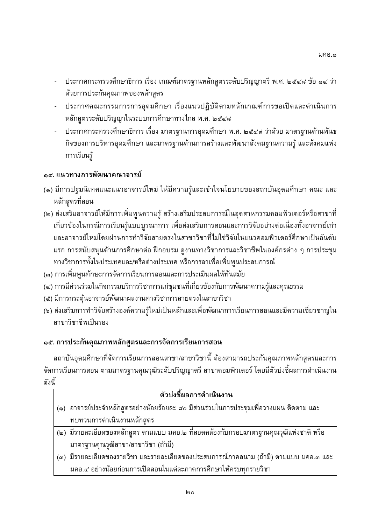- ประกาศกระทรวงศึกษาธิการ เรื่อง เกณฑ์มาตรฐานหลักสูตรระดับปริญญาตรี พ.ศ. ๒๕๔๘ ข้อ ๑๔ ว่า ด้วยการประกันคุณภาพของหลักสูตร
- ประกาศคณะกรรมการการอุดมศึกษา เรื่องแนวปฏิบัติตามหลักเกณฑ์การขอเปิดและดำเนินการ หลักสูตรระดับปริญญาในระบบการศึกษาทางไกล พ.ศ. ๒๕๔๘
- ี ประกาศกระทรวงศึกษาธิการ เรื่อง มาตรฐานการอุดมศึกษา พ.ศ. ๒๕๔๙ ว่าด้วย มาตรฐานด้านพันธ กิจของการบริหารอุดมศึกษา และมาตรฐานด้านการสร้างและพัฒนาสังคมฐานความรู้ และสังคมแห่ง การเรียนร้

## ๑๔. แนวทางการพัฒนาคณาจารย์

- (๑) มีการปฐมนิเทศแนะแนวอาจารย์ใหม่ ให้มีความรู้และเข้าใจนโยบายของสถาบันอุดมศึกษา คณะ และ หลักสตรที่สอน
- (๒) ส่งเสริมอาจารย์ให้มีการเพิ่มพูนความรู้ สร้างเสริมประสบการณ์ในอุตสาหกรรมคอมพิวเตอร์หรือสาขาที่ ้เกี่ยวข้องในกรณีการเรียนรู้แบบบูรณาการ เพื่อส่งเสริมการสอนและการวิจัยอย่างต่อเนื่องทั้งอาจารย์เก่า และอาจารย์ใหม่โดยผ่านการทำวิจัยสายตรงในสาขาวิชาที่ไม่ใช่วิจัยในแนวคอมพิวเตอร์ศึกษาเป็นอันดับ แรก การสนับสนุนด้านการศึกษาต่อ ฝึกอบรม ดูงานทางวิชาการและวิชาชีพในองค์กรต่าง ๆ การประชุม ี ทางวิชาการทั้งในประเทศและ/หรือต่างประเทศ หรือการลาเพื่อเพิ่มพูนประสบการณ์
- (๓) การเพิ่มพูนทักษะการจัดการเรียนการสอนและการประเมินผลให้ทันสมัย
- (๔) การมีส่วนร่วมในกิจกรรมบริการวิชาการแก่ชุมชนที่เกี่ยวข้องกับการพัฒนาความรู้และคุณธรรม
- (๕) มีการกระตุ้นอาจารย์พัฒนาผลงานทางวิชาการสายตรงในสาขาวิชา
- (๖) ส่งเสริมการทำวิจัยสร้างองค์ความรู้ใหม่เป็นหลักและเพื่อพัฒนาการเรียนการสอนและมีความเชี่ยวชาญใน สาขาวิชาชีพเป็นรอง

## ๑๕. การประกันคุณภาพหลักสูตรและการจัดการเรียนการสอน

ี่สถาบันอุดมศึกษาที่จัดการเรียนการสอนสาขา/สาขาวิชานี้ ต้องสามารถประกันคุณภาพหลักสูตรและการ ้จัดการเรียนการสอน ตามมาตรฐานคุณวุฒิระดับปริญญาตรี สาขาคอมพิวเตอร์ โดยมีตัวบ่งชี้ผลการดำเนินงาน ดังนี้

| ตัวบ่งชี้ผลการดำเนินงาน |                                                                                         |  |  |
|-------------------------|-----------------------------------------------------------------------------------------|--|--|
|                         | (๑)  อาจารย์ประจำหลักสูตรอย่างน้อยร้อยละ ๘๐ มีส่วนร่วมในการประชุมเพื่อวางแผน ติดตาม และ |  |  |
|                         | ทบทวนการดำเนินงานหลักสตร                                                                |  |  |
|                         | (๒) มีรายละเอียดของหลักสูตร ตามแบบ มคอ.๒ ที่สอดคล้องกับกรอบมาตรฐานคุณวุฒิแห่งชาติ หรือ  |  |  |
|                         | มาตรฐานคุณวุฒิสาขา/สาขาวิชา (ถ้ามี)                                                     |  |  |
|                         | (๓) มีรายละเอียดของรายวิชา และรายละเอียดของประสบการณ์ภาคสนาม (ถ้ามี) ตามแบบ มคอ.๓ และ   |  |  |
|                         | งเคอ ๔ อย่างน้อยก่อนการเปิดสอนในแต่ละกาคการศึกษาให้ครบทกรายวิชา                         |  |  |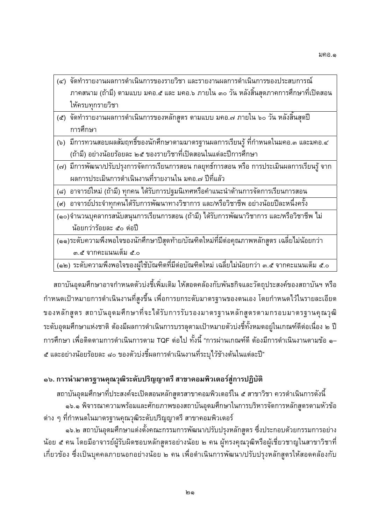- (๔) จิตทารายงานผลการดาเนนการของรายวชา และรายงานผลการดาเนนการของบระสบการณ<br>- การสบาบ (กั่วขึ้ง ตาบบบบ บอก ฮ และ บอก ๖ กายใบ ๓ วับ หลังสิ้นสุดภาคการศึกษาที่เ ให้ครายกรายวิชา<br>ให้ครายกรายวิชา  $\mathbf{q}$
- $\frac{9}{20\%}$  $\frac{q}{2}$
- $\frac{1}{2}$  $\frac{1}{2}$  and  $\frac{1}{2}$  and  $\frac{1}{2}$  and  $\frac{1}{2}$  and  $\frac{1}{2}$  and  $\frac{1}{2}$  and  $\frac{1}{2}$  and  $\frac{1}{2}$  and  $\frac{1}{2}$  and  $\frac{1}{2}$  and  $\frac{1}{2}$  and  $\frac{1}{2}$  and  $\frac{1}{2}$  and  $\frac{1}{2}$  and  $\frac{1}{2}$  and  $\frac{1}{2}$  a ง้ายี่\ จะต่างน้อยร้อยจะ ) ... ส ของรวยอิชาที่เปิดจายในแต่จะปีการสี่กมา
- $\frac{1}{2}$  $\frac{q}{q}$ ้ผลการประเมินการดำเนินงานที่รายงานใน มคอ.๗ ปีที่แล้ว
- $\frac{1}{2}$
- $\frac{1}{2}$
- $\frac{1}{\sqrt{2}}$ น้อยกว่าร้อยละ ๕๐ ต่อปี ) \$26&%1 & ; //-<;; \$- 9
- $\sim$ ...ส์ จากคะแนนเต็ม ๕.๐ +>!5+ @ &@#3O2
/% 6 &'\* >--9
=- 9'"-& ^ 7 =\$-969

 $\sim$ (๑๒) ระดบความพงพอเจของผูเชบณฑตทมตอบณฑตเหม เฉลยเมนอยกวา ๓.๕ จากคะแนนเตม ๕.๐<br>-

?%&2-@#!G-2 &%9+;F =- - >-626+&%&!/& ?3/+5+?%& -< G-2 3--2G +
=7+5@F <=/2&%- 05+ + 2G-2\$6>/ 2 5+-&7 ?%&2-@#
=!/\$26&%&%+- 0-&7 -%- 0'1 المستقدم المستقدم المستقدم المستقدم المستقدم المستقدم المستقدم المستقدم المستقدم المستقدم المستقدم المستقدم ال<br>كان المستقدم المستقدم المستقدم المستقدم المستقدم المستقدم المستقدم المستقدم المستقدم المستقدم المستقدم المستق ิดอยูเนเกณฑดต<br>้ @# <= 2 -2G - TQF 6+-อเบ ทงน "การผานเกณฑด ต<br>ค.ศ. 1 พ.ศ. 2019 56 – /9+66/ [\ 5+ &%9+;FV2G +
=/%\$656+ 6> 9/3O"

## ๑๖. การนำมาตรฐานคุณวุฒิระดับปริญญาตรี สาขาคอมพิวเตอร์สู่การปฏิบัติ

ง ข<br>- เมื่อวรถเวลวามพร้อมและสักยุกาพของสถานั้นออมสี่ถนาในการเริ่มวรอัคกรุ่มถักสตรตามนั้ ๑๖.๑ พจารณาความพรอมและศกยภาพของสถาบนอุดมศกษาเนการบรหารจดการหลกสูตรตามหวขอ<br>ว่ิจำหนดในบาลรรวบคุณาติระดับปริกาณาตรี สาขาควบพิวเตอร์ و<br>الأواده من هذه المتحدث المتحدة المتحدة من المتحدة المتحدة المتحدة المتحدة المتحدة المتحدة المتحدة المتحدة المت

9+ D 
=G-2>- 0'1/2&%344 5-  Y. ?%&2-@# 9+ &1/3&%3+-&7 @=+3/%26-9+ งคณะกรรม<br>''\*จักสตรา นอย ๕ คน เดยมอาจารยผูรบผดชอบหลกสูตรอยางนอย ๒ คน ผูทรงคุณวุฒหรอผูเชยวชาญเนสาขาวชาท<br>เอี่ยวข้อง ซึ่งเป็นมคคลอายุบอกอย่างน้อย ๒ คน เพื่อคำเนินการพัฒนา/ปรับปรุงหลักสตรให้สอคคล้องกับ  $\frac{1}{3}$  ,  $\frac{1}{3}$  ,  $\frac{1}{3}$  ,  $\frac{1}{3}$  ,  $\frac{1}{3}$  ,  $\frac{1}{3}$  ,  $\frac{1}{3}$  ,  $\frac{1}{3}$  ,  $\frac{1}{3}$  ,  $\frac{1}{3}$  ,  $\frac{1}{3}$  ,  $\frac{1}{3}$  ,  $\frac{1}{3}$  ,  $\frac{1}{3}$  ,  $\frac{1}{3}$  ,  $\frac{1}{3}$  ,  $\frac{1}{3}$  ,  $\frac{1}{3}$  ,  $\frac{1$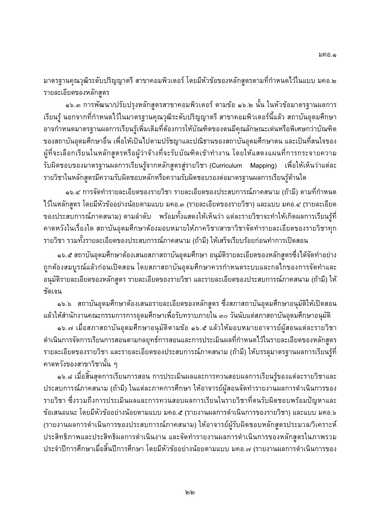-<br>ราย 0'1/2&%344 5-  2--&565+-&7 -=G-2\$6>%% -.

 $\frac{1}{2}$ Y. &1/3&%3+-&7 5-  -56 Y. &F >-&56- 0V -----<sub>ข</sub>ุ<br>อาจกำหนดมาตรรานผลการเรียนรัเพิ่มเติมที่ต้องการให้บัณฑิตของตนมีคณลักษณะเด่นหรือพิเศษกว่าบัณฑิต 0'1/2&%344 !G-2- 0V 76 =- -= 6+>-6%&'\* 5+ -'&#'/ 29-< #9%&'\* ของสถาบนอุดมศกษาอน เพอเหเบนเบตามบรชญาและบณธานของสถาบนอุดมศกษาตน และเบนทสนเจของ<br>ผู้ส่วนเลือกเรียบใบหลักสตรหรือผู้ว่าจักหลี่กะรับบักเชิญตัวห์วงวบ โดยให้แสดงแยนที่การกระจายความ ข<br>รับผิดชายของบาตรราบยอการเรียนร้าวกะถักสตรส่รายวิชา (Curioulum Monning) เพื่อใช้เช็มว่าแต่จะ -<V769!6+
=!/&%%&'\* รายวิชาใบแล้วจะเริ่มการเริ่มยิดชายเจ้าหรือความรับยิดชายรายว่ายารรายยาการเรียนรู้ด้านใด<br>รายวิชาใบแล้วจะรถีดวามรับยิดชายเจ้าหรือความรับยิดชายรายว่ายากรรายยาการเรียนรู้ด้านใด

;>-&7 --&%V2;%-&-<-&%V2;%+ 9- 0V 7626>2 ๑๖.๔ การจดทารายละเอยดของรายวชา รายละเอยดของบระสบการณภาคสนาม (ถาม) ตามทกาหนด<br>.<br>จะตร โดยมีนักข้องย่องน้อยตามแบบ บอล ๓ (รายละเอียดของรายวิชา) และแบบ บอล ๔ (รายละเอียด มา หารอยู่<br>ขอ หารอะมาการกโกาคสมาม) ตามจำคัม แมร้ามห้มแสดงให้เห็นว่า แต่จะรายวิชาจะหำให้เกิดยาการเรียมเรีย ของบระสบการณภาคสนาม<br>ควอหวังใบเรื่องใค สถาบัน ) -G2&% 6-&F+2+>-6 -J9 9/;!/
G>-6 2V 76
= 2-&+> <=+>2 ?%&2-@# 6+-%-->-6";/5;!&2
G/ 25+; &F+/ 25+3/%'"-

; - (?6-) >-6 J! %69
G 3\_2 Y. ?%&2-@# 6+ "?%&2-@# -& / 25+-&7 @=+\$26!&2
G9+ ?7 6+-@#G-2/%%/\$5+!&2
G/ บูรณแลวกอนเบดสอน เดยสภาสถาบนอุดม<br>พบวียอของหลักสตร รายจะเวียอของรายวิชา – ຊ…<br>ອັດເລາ รายละเอยดของหลกสูตร รายละเอยดของรายวชา และรายละเอยดของประสบการณภาคสนาม (ถาม) เห<br>.

ึ ๑๖.๖ สถาบันอุดมศึกษาต้องเสนอรายละเอียดของหลักสูตร ซึ่งสภาสถาบันอุดมศึกษาอนุมัติให้เปิดสอน I y and the process of the product in the contract of the process of the product of the product of the product of the product of the product of the product of the product of the product of the product of the product of the

6>-6G&+'/-2-@# <=&%
%"> \ &&% 9"?%&2-@#-& ง - w - w - w - w - w - - - สุ www. - - - สุ www. w - - - , - w - www. - - www. - - www. - w - สุ w - www. - w<br>บอรรัดอารเรียบอารสอบตอบอายุทธ์อารสอบและอาระเรียเมียบอตี้จำหนดได้ใบรวยละเลี้ยดขอ หะฉัอสตร 2G !&2 -/3/ -V
=G-2\$6>/ 25+-&7 รายละเอยดของรายวชา และรายละเอยดของประสบการณภาคสนาม (ถาม) เหบรรลุมาตรฐานผลการเรยนรูท<br>ควอหวังของสาขาวิชานั้น ค

์ คาดหวังของสาขาวิชานั้น ๆ<br>๑๖.๘ เมื่อสิ้นสุดการเรียนการสอน การประเมินผลและการทวนสอบผลการเรียนรู้ของแต่ละรายวิชาและ ง<br>พบการณ์ถาดสมาม (ถ้ามี) ใมแต่จะถาดการสึกมา ให้ถาการย์ย้องมาวัดทำรายงามเกาการดำเนินการขาว บระสบการณภาคสนาม<br>รายวิชา ตึ่งราบถึงการง (?6-) > 9/"@# >-6!V76!&2
G+V2G 5+ ; @=+-?@+3/ -V/
%V >;
= &%V2;%6-3P4-/ 56 / 2--&569+6 -%% -. (+V2G 5+;) /%% -.Y (รายงานผลการดาเนนการของบระสบการณภาคสนาม<br>ประสิทธิภาพและประสิทธิยอการคำเบิบงาบ และลัคทำ ) >-6!V76&%V2;%-&7 3/-/ /- ง|ระจำปีการศึกษาเยื่อสิ้นปีการศึกษา โดยมีหัวต้ออย่างน้อยตามแมม มคอ -/ /รายงามยอการคำเมินการตอง<br>ประจำปีการศึกษาเมื่อสิ้นปีการศึกษา โดยมีหัวต้ออย่างน้อยตามแมม มคอ -/ /รายงามยอการคำเมินการตอง  $\frac{1}{\sqrt{2}}$  ,  $\frac{1}{\sqrt{2}}$  ,  $\frac{1}{\sqrt{2}}$  ,  $\frac{1}{\sqrt{2}}$  ,  $\frac{1}{\sqrt{2}}$  ,  $\frac{1}{\sqrt{2}}$  ,  $\frac{1}{\sqrt{2}}$  ,  $\frac{1}{\sqrt{2}}$  ,  $\frac{1}{\sqrt{2}}$  ,  $\frac{1}{\sqrt{2}}$  ,  $\frac{1}{\sqrt{2}}$  ,  $\frac{1}{\sqrt{2}}$  ,  $\frac{1}{\sqrt{2}}$  ,  $\frac{1}{\sqrt{2}}$  ,  $\frac{1}{\sqrt{2}}$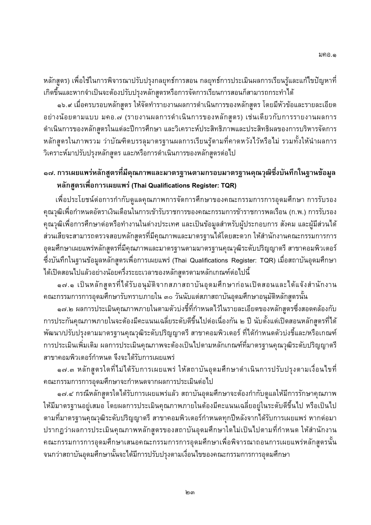-&7 V 76/6\$53P4= ่ หลักสูตร) เพื่อใช้ในการพิจารณาปรับปรุงกลยุทธ์การสอน กลยุทธ์การประเมินผลการเรียนรู้และแก้ไขปัญหาที่

 $\sim$   $\sim$   $\sim$   $\frac{d}{d}$   $\sim$  30  $\sim$  30  $\sim$  30  $\sim$  30  $\sim$  30  $\sim$  30  $\sim$  30  $\sim$  30  $\sim$  30  $\sim$  30  $\sim$  30  $\sim$  30  $\sim$  30  $\sim$  30  $\sim$  30  $\sim$  30  $\sim$  30  $\sim$  30  $\sim$  30  $\sim$  30  $\sim$  30  $\sim$  30  $\sim$  30  $\sim$  30  $\sim$ Y.H -<=%%-&7 >-6!&2
G+V2G 5+-&7 2--&56// 2 9+6 -%% -.Z (+V2G 5+-&7 ) ;9 2&%+V 2G 5+-&7 > 9/3O@# / /-3/
"/3/
V5+%-!&2 ข ข ข<br>วิเคราะห์มางไร้มงไร หงอักสตร และ/หรือการคำมินการขอ หงอักสตรต ิ วาบณฑตบรรลุมาตรฐานผลการเรยนรูตามทคาดหวง เวหรอ เม รวมทงเหนาผลการ<br>เจ้อสตร แอะไหรือการดำเนินการของหอักสตรต่อไป  $\overline{a}$  ,  $\overline{a}$  ,  $\overline{a}$  ,  $\overline{a}$  ,  $\overline{a}$  ,  $\overline{a}$  ,  $\overline{a}$  ,  $\overline{a}$ 

## ๑๗. การเผยแพร่หลักสูตรที่มีคุณภาพและมาตรฐานตามกรอบมาตรฐานคุณวุฒิซึ่งบันทึกในฐานข้อมูล **9"% 6 %5\$! : (Thai Qualifications Register: TQR)**

 $\frac{q-3}{q-3}$  ขึ้น ความนี้จะเป็นการเข้ารับราชการของการของรูปการข้าราชการขอเรื่อน (ก.พ.) การรับราง "เพื่อประโยชน์ต่อการกำกับดูแลคุณภาพการจัดการศึกษาของคณะกรรมการการอุดมศึกษา การรับรอง '1 <=G-2& + 2<> 56&%;5+'/-56; < (..) &%+ คุณวุฒเพอการศกษาต<br>\*\*\*\*\*\*\*\*\*\*\*\*\*\*\*\*\*\*\* 9-<
G+> 9+3/ 
 / 3856-7G-&%V763/% &+- /V76-9\$26 สวนเสยจะสามารถตรวจสอบหลกสูตรทมคุณภาพและมาตรฐานเดเดยสะดวก เหสานกงานคณะกรรมการการ<br>ออนสึกมายยนแห่งเจ้กสตรตี้ถือกากงุนและมาตรรวมตามาตรรวมคุณวุฒิระดับปริกาณาตี สาขาควบพิวเตอร์ อุดมศกษาเผยแพรหลกสูตรทมคุณภาพและมาตรฐานตามมาตรฐานคุณวุฒระดบปรญญาตร สาขาคอมพวเตอร<br>-<br>ส่งบับชื่อใบรวบข้อบอหลักสตรเพื่อการเผยแพร่ (Thei Quelificatione Begister: TOB) เพื่อสถาบับอุดบสิกษา ้ " ข ข ข<br>ได้เปิดสอบไปแล้วอย่างบ้อยครึ่งระยะเวลาของหลักสตรตามหลักเภกเซ็ต่าไปเปื้  $\overline{a}$ หลกเกณฑต<br>''ออบสื่อบา

ข<br>- - - - เป็นหวักสตรตี้ได้รับอบมัติวากสกวสกามันออนสึกมาก่อน  $\frac{9}{2}$  ข

'/-2-@#&%
%"> \ &&% 9"?%&2-@#-& -&7 &F ๑๗.๒ ผลการบระเมนคุณภาพภายเนตามตวบงชทกาหนดเวเนรายละเอยดของหลกสูตรซงสอดคลองกบ<br>Isะถับกาเกาะแกวยใบวะต้องถือะแบบเวลี่ยระดับดีตึ้มไปต่อเกื่องถับ น. ปี นับตั้งแต่เปิดจวบหลักจุตรซึ่งส การประกนคุณภาพภายเนจะต<br><sup>เ</sup>พ้ตเบา/ปรับประตาบบอกรรวบ 6+-/ ^=/2&%25@F\$3 9 <=+& 3O &% &F+ 9 3\_2-&7 =\$26 การประเดิบเพิ่มเติม ยอการประเดิบคอบภาพจะต้อมป็นไปตามหลักเภกเซ์ที่มาตรรามคน<br>การประเดิบเพิ่มเติม ยอการประเดิบคอบภาพจะต้อมป็นไปตามหลักเภกเซ์ที่มาตรรามคน 0'1/2&%344 &%9+;F//-< '\*  $\sim$ วายวคอมเพิ่วเตอร์จำหมด อึมาะได้ร นคุณภาพจะตองเบน เบตามหลกเกณฑทมาตรฐานคุณวุฒระดบบรญญาตร<br>รับการเยยแพร่

5- G-2 !@+!/\$26&% V9 و<br>محدود العلاج العام 1920 - 1930 - 1930 - 1940 - 1940 - 1940 - 1940 - 1940 - 1940 - 1940 - 1940 - 1940 - 1940 - $\frac{1}{2}$   $\frac{1}{2}$   $\frac{1}{2}$   $\frac{1}{2}$   $\frac{1}{2}$   $\frac{1}{2}$   $\frac{1}{2}$   $\frac{1}{2}$   $\frac{1}{2}$   $\frac{1}{2}$   $\frac{1}{2}$   $\frac{1}{2}$   $\frac{1}{2}$   $\frac{1}{2}$   $\frac{1}{2}$   $\frac{1}{2}$   $\frac{1}{2}$   $\frac{1}{2}$   $\frac{1}{2}$   $\frac{1}{2}$   $\frac{1}{2}$   $\frac{1}{2}$  คณะกรรม<br>- - -- -

-<br>2- กรณีหลักสตร์ไดใด้รับการเยยแฟร่แล้ว สถาบันอุดบ ด๗.๔ กรณหลกสูตรเดเดรบการเผยแพรแลว สถาบนอุดมศกษาจะตองกากบดูแลเหมการรกษาคุณภาพ<br>เวครรวบอยู่เสบอ โดยยอกอรประเมินคุณภาพภายในค้องถือะแบบเวลี่ยอยู่ในระดับคี่ถึงไป หรือเป็นไป >-6-- 079 - 2V3/ -6+-/ ^=79>/2&%25@F\$3 -< 38\$3 นคุณภาพภายเนต<br>\*จขอคอมพิวเตอร์อํ ตามทมาตรฐานคุณวุฒระดบปรญญาตร สาขาคอมพวเตอรกาหนดทุกบหลงจาก เดรบการเผยแพร หากตอมา<br>ปรากอว่ายออารประเบินคอเกางพะอักสตรของสอวนับออนสื่อนาใคใบ่เป็นไปตามที่อำหมด ให้สำนักงาน ้ม<br>คณะกรรมการการาคมสื่อมูญสมาคมะกรรมการการกายเสื้อมูญสื่อมูลขอายาการเยเแพร่หลักสตรนั้น นคุณภาพหลกสูต<br>\*\*\*\*\*\*\*\*\*\*\*\*\*\* คณะกรรมการการอุดมศกษาเสนอคณะกรรมการการอุดมศกษาเพอพจารณาถอนการเผยแพรหลกสูตรนน<br>จบกว่าสถาบันวอบสี่ถนานั้นจะได้มีการปรับประตาบที่จบไขของคณะกรรมการการออนสี่ถนา 2-2-จนกวาสถาบนอุดมศกษานนจะ เดมการบรบบรุงตามเงอน เขของคณะกรรมการการอุดมศกษา<br>-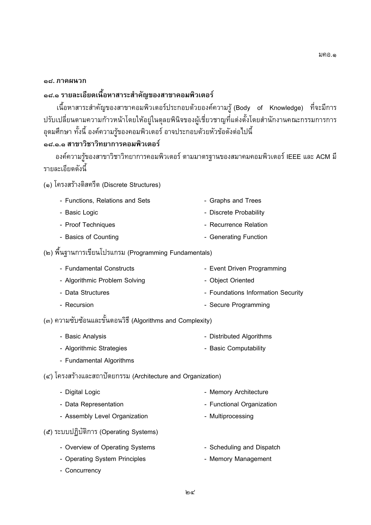#### ้<sub>ค</sub>๘. ภาคผนวก

## ๑๘.๑ รายละเอียดเนื้อหาสาระสำคัญของสาขาคอมพิวเตอร์

ง อางาราช 5-7<br>เปลี่ยนตามความถ้าวะมำโดยให้จย่ในควยพินิวของยับสี่ยวชาญที่แต่งตั้งโดยจำนักงานคณะกรรมการการ ง<br>จอมสึกมา หั้งมี้ จงจ์ความรับจงควมพิวเตอร์ จาวประกอบด้วยหัวข้ออังต่าใง งเดยสานกงานคณะกรรมการการ<br>'เส้ <u>.</u><br>...

# ี<br>• ๘.๑.๑ สาขาวิชาวิทยาการคอมพิวเตอร์

รายละเอียดดังนี้ 105 - 105 - 105 - 105 - 105 - 105 - 105 - 105 - 105 - 105 - 105 - 105 - 105 - 105 - 105 - 106 - 107 - 108 - 10<br>|-<br>|-

(๑) โครงสร้างดิสครีต (Discrete Structures)  $\left(\frac{1}{2}\right)$  $\sqrt{2}$ 

| - Functions, Relations and Sets | - Graphs and Trees     |
|---------------------------------|------------------------|
| - Basic Logic                   | - Discrete Probability |
| - Proof Techniques              | - Recurrence Relation  |
| - Basics of Counting            | - Generating Function  |
|                                 |                        |

 $\begin{pmatrix} 1 & 0 & 0 \\ 0 & -1 & 0 \\ 0 & 0 & 0 \end{pmatrix}$ 

| - Algorithmic Problem Solving<br>- Object Oriented<br>- Data Structures<br>- Secure Programming<br>- Recursion | - Fundamental Constructs | - Event Driven Programming         |
|----------------------------------------------------------------------------------------------------------------|--------------------------|------------------------------------|
|                                                                                                                |                          |                                    |
|                                                                                                                |                          | - Foundations Information Security |
|                                                                                                                |                          |                                    |

(๓) ความซับซ้อนและขั้นตอนวิธี (Algorithms and Complexity) () -(Algorithms and Complexity)

| - Basic Analysis         | - Distributed Algorithms |
|--------------------------|--------------------------|
| - Algorithmic Strategies | - Basic Computability    |

- Fundamental Algorithms - Fundamental Algorithms

 $\sqrt{3}$ 

| - Digital Logic                   | - Memory Architecture     |
|-----------------------------------|---------------------------|
| - Data Representation             | - Functional Organization |
| - Assembly Level Organization     | - Multiprocessing         |
| ะบบปฏิบัติการ (Operating Systems) |                           |

- $(1, 2)$   $(2, 3)$   $(3, 3)$   $(4, 3)$   $(5, 3)$   $(6, 3)$   $(7, 3)$   $(8, 3)$   $(8, 3)$   $(9, 3)$   $(1, 3)$   $(1, 3)$ - Overview of Operating Systems<br>
- Scheduling and Dispatch<br>
- Operating System Principles<br>
- Memory Management
	- Operating System Principles Memory Management
	- Concurrency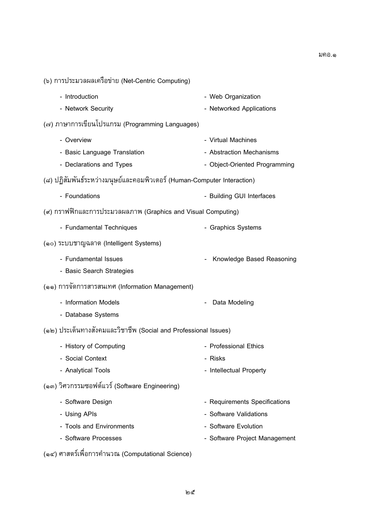(๑๔) ศาสตรเพอการคานวณ (Computational Science)<br>้

| - Introduction                                                          | - Web Organization            |
|-------------------------------------------------------------------------|-------------------------------|
| - Network Security                                                      | - Networked Applications      |
| (๗) ภาษาการเขียนโปรแกรม (Programming Languages)                         |                               |
| - Overview                                                              | - Virtual Machines            |
| - Basic Language Translation                                            | - Abstraction Mechanisms      |
| - Declarations and Types                                                | - Object-Oriented Programming |
| (๘) ปฏิสัมพันธ์ระหว่างมนุษย์และคอมพิวเตอร์ (Human-Computer Interaction) |                               |
| - Foundations                                                           | - Building GUI Interfaces     |
| (๙) กราฟฟิกและการประมวลผลภาพ (Graphics and Visual Computing)            |                               |
| - Fundamental Techniques                                                | - Graphics Systems            |
| (๑๐) ระบบชาญฉลาด (Intelligent Systems)                                  |                               |
| - Fundamental Issues                                                    | Knowledge Based Reasoning     |
| - Basic Search Strategies                                               |                               |
| (๑๑) การจัดการสารสนเทศ (Information Management)                         |                               |
| - Information Models                                                    | Data Modeling                 |
| - Database Systems                                                      |                               |
| (๑๒) ประเด็นทางสังคมและวิชาชีพ (Social and Professional Issues)         |                               |
| - History of Computing                                                  | - Professional Ethics         |
| - Social Context                                                        | - Risks                       |
| - Analytical Tools                                                      | - Intellectual Property       |
| (๑๓) วิศวกรรมซอฟต์แวร์ (Software Engineering)                           |                               |
| - Software Design                                                       | - Requirements Specifications |
| - Using APIs                                                            | - Software Validations        |
| - Tools and Environments                                                | - Software Evolution          |
| - Software Processes                                                    | - Software Project Management |
| േ⊿                                                                      |                               |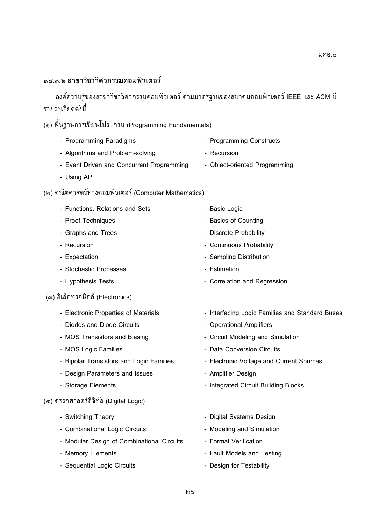#### ุ<br>๑๘.๑.๒ สาขาวิชาวิศวกรรมคอมพิวเตอร์

รายละเอียดดังนี้ 765+5;--  -- 05+---  IEEE / ACM -/ 22&+F

 $\begin{pmatrix} 1 & 0 & 0 \\ 0 & 0 & 0 \\ 0 & 0 & 0 \end{pmatrix}$ 

- Programming Paradigms <br>- Algorithms and Problem-solving Programming Constructs<br>- Algorithms and Problem-solving Recursion
- 
- Event Driven and Concurrent Programming Object-oriented Programming - Event Driven and Concurrent Programming - Object-oriented Programming
- $\overline{\phantom{a}}$
- (๒) คณตศาสตรทางคอมพวเตอร (Computer Mathematics)<br>-

| - Functions, Relations and Sets            | - Basic Logic                                   |
|--------------------------------------------|-------------------------------------------------|
| - Proof Techniques                         | - Basics of Counting                            |
| - Graphs and Trees                         | - Discrete Probability                          |
| - Recursion                                | - Continuous Probability                        |
| - Expectation                              | - Sampling Distribution                         |
| - Stochastic Processes                     | - Estimation                                    |
| - Hypothesis Tests                         | - Correlation and Regression                    |
| (๓) อิเล็กทรอนิกส์ (Electronics)           |                                                 |
| - Electronic Properties of Materials       | - Interfacing Logic Families and Standard Buses |
| - Diodes and Diode Circuits                | - Operational Amplifiers                        |
| - MOS Transistors and Biasing              | - Circuit Modeling and Simulation               |
| - MOS Logic Families                       | - Data Conversion Circuits                      |
| - Bipolar Transistors and Logic Families   | - Electronic Voltage and Current Sources        |
| - Design Parameters and Issues             | - Amplifier Design                              |
| - Storage Elements                         | - Integrated Circuit Building Blocks            |
| (๔) ตรรกศาสตร์ดิจิทัล (Digital Logic)      |                                                 |
| - Switching Theory                         | - Digital Systems Design                        |
| - Combinational Logic Circuits             | - Modeling and Simulation                       |
| - Modular Design of Combinational Circuits | - Formal Verification                           |
| - Memory Elements                          | - Fault Models and Testing                      |
| - Sequential Logic Circuits                | - Design for Testability                        |
|                                            |                                                 |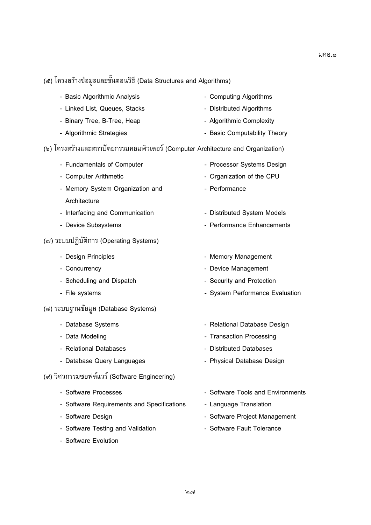| - Basic Algorithmic Analysis                                                    | - Computing Algorithms            |
|---------------------------------------------------------------------------------|-----------------------------------|
| - Linked List, Queues, Stacks                                                   | - Distributed Algorithms          |
| - Binary Tree, B-Tree, Heap                                                     | - Algorithmic Complexity          |
| - Algorithmic Strategies                                                        | - Basic Computability Theory      |
| (๖) โครงสร้างและสถาปัตยกรรมคอมพิวเตอร์ (Computer Architecture and Organization) |                                   |
| - Fundamentals of Computer                                                      | - Processor Systems Design        |
| - Computer Arithmetic                                                           | - Organization of the CPU         |
| - Memory System Organization and                                                | - Performance                     |
| Architecture                                                                    |                                   |
| - Interfacing and Communication                                                 | - Distributed System Models       |
| - Device Subsystems                                                             | - Performance Enhancements        |
| (๗) ระบบปฏิบัติการ (Operating Systems)                                          |                                   |
| - Design Principles                                                             | - Memory Management               |
| - Concurrency                                                                   | - Device Management               |
| - Scheduling and Dispatch                                                       | - Security and Protection         |
| - File systems                                                                  | - System Performance Evaluation   |
| (๘) ระบบฐานข้อมูล (Database Systems)                                            |                                   |
| - Database Systems                                                              | - Relational Database Design      |
| - Data Modeling                                                                 | - Transaction Processing          |
| - Relational Databases                                                          | - Distributed Databases           |
| - Database Query Languages                                                      | - Physical Database Design        |
| (๙) วิศวกรรมซอฟต์แวร์ (Software Engineering)                                    |                                   |
| - Software Processes                                                            | - Software Tools and Environments |
| - Software Requirements and Specifications                                      | - Language Translation            |
| - Software Design                                                               | - Software Project Management     |

- Software Testing and Validation **Construent Construent Analysis Construent** Software Fault Tolerance
- Software Evolution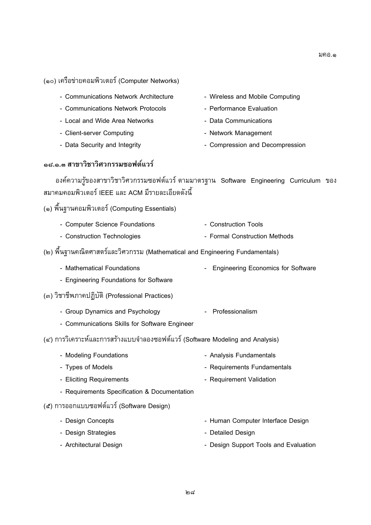#### $(\,\cdot\,\,)\,$  $(1 - \frac{1}{2})$

- Communications Network Architecture - Communications Network Architecture **- Wireless and Mobile Computing**<br>- Communications Network Protocols - Performance Evaluation
- 
- Local and Wide Area Networks **Protocols Performance Protocols Performance Protocols Performance Evaluations**
- Client-server Computing **Communications** Network Management
- Data Security and Integrity Compression and Decompression
- 
- 
- 
- 
- Data Security and Integrity **Accord Management Compression and Decompression**

#### **G..' &%-() !**

+-765+5;-  -- $\frac{1}{\omega_{\text{S}}}$  of curriculum  $\omega_{\text{S}}}$  curriculum  $\omega_{\text{S}}$  $\mathcal{L}$ 

 $\left( \cdot, \cdot \right)$  and  $\left( \cdot, \cdot \right)$  is the computing  $\left( \cdot, \cdot \right)$ 

- Computer Science Foundations<br>
 Construction Technologies<br>
 Formal Construction Methods
- $\sim$  Construction Technologies Formal Construction Methods  $\sim$
- (๒) พนฐานคณต<br>''  $\sqrt{m}$ 
	- Mathematical Foundations Engineering Economics for Software
	- Engineering Foundations for Software
- $\omega$  (Professional Practices)
	- Group Dynamics and Psychology<br>- Communications Skills for Software Engineer - Professionalism
	-
- $\epsilon$  ) การวิเคราะห์และการสร้างแบบจำลองซอฟต์แวร์ (Software Modeling and Analysis)  $\left( \frac{1}{2}, \frac{1}{2}, \frac{1}{2}, \frac{1}{2}, \frac{1}{2}, \frac{1}{2}, \frac{1}{2}, \frac{1}{2}, \frac{1}{2}, \frac{1}{2}, \frac{1}{2}, \frac{1}{2}, \frac{1}{2}, \frac{1}{2}, \frac{1}{2}, \frac{1}{2}, \frac{1}{2}, \frac{1}{2}, \frac{1}{2}, \frac{1}{2}, \frac{1}{2}, \frac{1}{2}, \frac{1}{2}, \frac{1}{2}, \frac{1}{2}, \frac{1}{2}, \frac{1}{2}, \frac{1}{2}, \frac{1}{2}, \frac{1}{2}, \frac{1}{2},$  (Software Modeling and Analysis)
	- Modeling Foundations<br>- Types of Models<br>- Types of Models<br>- Requirements Fundamentals - Eliciting Requirements **Fundaments** - Requirement Validation - Requirements Specification & Documentation
- (๕) การออกแบบซอฟต์แวร์ (Software Design)
- () %%  $\sum_{i=1}^{n}$ - Design Christianian<br>- Design Christianian - Design Strategies<br>
- Architectural Design<br>
- Architectural Design<br>
- Design Support Tools and Evaluation - Architectural Design - Design Support Tools and Evaluation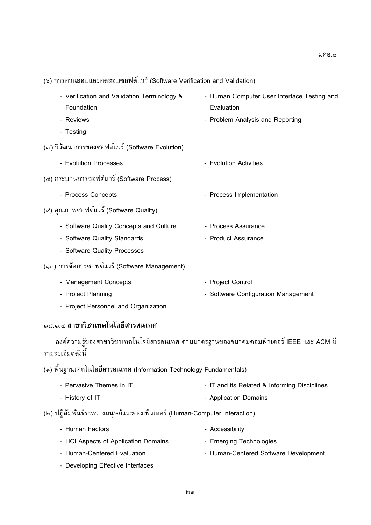$(1, 2)$ 

| - Verification and Validation Terminology &     | - Human Computer User Interface Testing and |
|-------------------------------------------------|---------------------------------------------|
| Foundation                                      | Evaluation                                  |
| - Reviews                                       | - Problem Analysis and Reporting            |
| - Testing                                       |                                             |
| (๗) วิวัฒนาการของซอฟต์แวร์ (Software Evolution) |                                             |
| - Evolution Processes                           | - Evolution Activities                      |
| (๘) กระบวนการซอฟต์แวร์ (Software Process)       |                                             |
| - Process Concepts                              | - Process Implementation                    |
| (๙) คุณภาพซอฟต์แวร์ (Software Quality)          |                                             |
| - Software Quality Concepts and Culture         | - Process Assurance                         |
| - Software Quality Standards                    | - Product Assurance                         |
| - Software Quality Processes                    |                                             |
| (๑๐) การจัดการซอฟต์แวร์ (Software Management)   |                                             |
| - Management Concepts                           | - Project Control                           |
| - Project Planning                              | - Software Configuration Management         |
| - Project Personnel and Organization            |                                             |
|                                                 |                                             |

## ื่อ๘.๑.๔ สาขาวิชาเทคโนโลยีสารสนเทศ

รายละเอียดดังนี้ 765+5; 

 -- 05+---  IEEE / ACM -

 $\frac{2}{2}$  $\frac{d^2y}{dx^2}$ 

| - Pervasive Themes in IT | - IT and its Related & Informing Disciplines |
|--------------------------|----------------------------------------------|
| $L$ ioton $\ell$ of IT   | Annlication Domoine                          |

- History of IT Application Domains Application Domains Application Domains Application Domains Application Domains Application Domains Application Domains Application Domains Application Domains Applic
- $\begin{pmatrix} 1 & 1 & 1 \\ 1 & 2 & 1 \\ 1 & 2 & 1 \end{pmatrix}$ 
	- Human Factors<br>- HCl Aspects of Application Domains<br>- Emerging Technologies
	- Human-Centered Evaluation **Company 1 State Application** Human-Centered Software Development - Developing-Effective Interfeces
	- Developing Effective Interfaces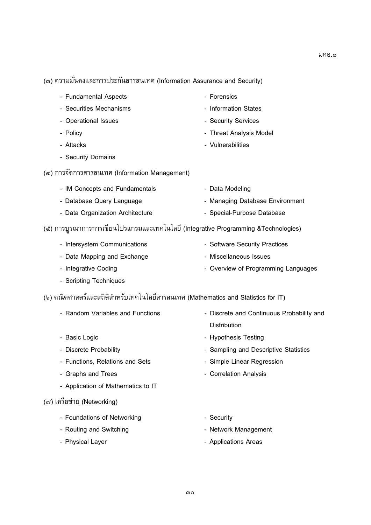$\left($  $\sqrt{3}$ 

- Fundamental Aspects<br>- Securities Mechanisms<br>- Securities Mechanisms<br>- Information States
- Security Security States Information Security States Information States Information Security Security States -
- Operational Issues Security Services<br>- Policy Security Services<br>- Policy Security Services
- 
- Policy Threat Analysis Model
- Attacks Vulnerability Vulnerability Vulnerability Vulnerability Vulnerability Vulnerability Vulnerability Vulnerability Vulnerability Vulnerability Vulnerability Vulnerability Vulnerability Vu - Security Domains<br>- Security Domains
- (๔) การจัดการสารสนเทศ (Information Management)<br>- IM Concepts and Fundamentals
	- IM Concepts and Fundamentals<br>- Database Query Language The Managing Database Environment - Data Organization Architecture **Communist - Canadian Database** - Special-Purpose Database

- Forensics

- Data Organization Architecture Special-Purpose Database (๕) การบูรณาการการเขยนเบรแกรมและเทคเนเลย (Integrative Programming &Technologies)<br>-
	- Intersystem Communications<br>
	 Software Security Practices<br>
	 Data Mapping and Exchange<br>
	 Miscellaneous Issues
	-
	- Integrative Coding **Capping and Exchange 20 Aastropology** Overview of Programming Languages - Integrative Coding - Overview of Programming Languages<br>Corinting Toobniques
	- Scripting Techniques
- (๖) คณตศาสตรและสถตสาหรบเทคเนเลยสารสนเทศ (Mathematics and Statistics for IT)<br> $\,$ 
	-
	-
	- Basic Logic Hypothesis Testing of December Hypothesis Testing of December Hypothesis Testing and December Hypothesis Testing and December Hypothesis Testing and December Hypothesis Testing and December Hypo
	-
	-
	- Application of Mathematics to IT - Application of Mathematics to IT
- $\sqrt{2}$  ( $\sqrt{3}$ )  $\sqrt{3}$ 
	- Foundations of Networking<br>
	 Routing and Switching<br>
	 Routing and Switching<br>
	 Network Management
	-
	- Physical Layer Applications Areas
- Random Variables and Functions Discrete and Continuous Probability and Distribution<br>- Hypothesis Testing
	-
- Discrete Probability<br>- Sampling and Descriptive Statistics<br>- Functions, Relations and Sets<br>- Simple Linear Regression
	-
- Graphs and Trees **All and Sets And Sets And Sets And Sets And Sets And Analysis** 
	-
	-
- Physical Layer **Management Controllers** Applications Areas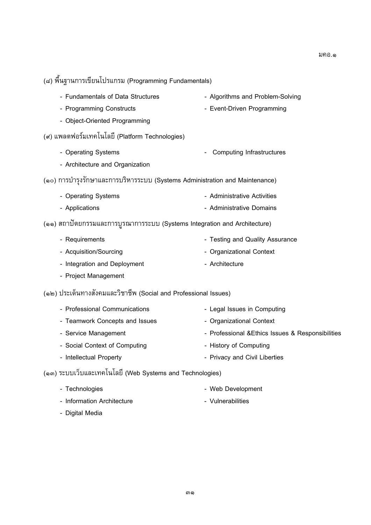- $\begin{pmatrix} 1 & 0 & 0 \\ 0 & -1 & 0 \\ 0 & 0 & 0 \end{pmatrix}$ - Fundamentals of Data Structures<br>- Algorithms and Problem-Solving<br>- Programming Constructs<br>- Event-Driven Programming - Object-Oriented Programming (๙) แพลตฟอร์มเทคโนโลยี (Platform Technologies)  $(1)$  
 (Platform Technologies) - Operating Systems<br>- Architecture and Organization<br>- Architecture and Organization - Architecture and Organization (\) %G+ &#/%-/%% (Systems Administration and Maintenance) - Operating Systems<br>
- Administrative Activities<br>
- Applications<br>
- Administrative Domains - Applications - Administrative Domains (๑๑) สถาบตยกรรมและการบูรณาการระบบ (Systems Integration and Architecture)<br>้ - Requirements<br>
- Testing and Quality Assurance<br>
- Acquisition/Sourcing<br>
- Organizational Context - Integration and Deployment **Context** - Architecture - Project Management - Project Management  $(3 - )$  =  $(3 - )$  $\mathcal{L}$ ; (Social and Professional Issues) - Professional Communications - Legal Issues in Computing<br>- Teamwork Concepts and Issues - Organizational Context - Service Management **Concept and Islamic Concepts and Islamic Concepts and Islamic Concepts Assument** Context and Islamic Context and Islamic Context and Islamic Context and Islamic Context and Islamic Context and Islamic - Social Context of Computing **Canadian Context - Professional Analysisues Analysisues Activities Activities A** - Intellectual Property **Computer Computer Computer Computer** - Privacy and Civil Liberties - Intellectual Property - Privacy and Civil Liberties - Privacy and Civil Liberties - Privacy and Civil Liberties - Privacy and Civil Liberties - Privacy and Civil Liberties - Privacy and Civil Liberties - Privacy and Civi (๑๓) ระบบเว็บและเทคโนโลยี (Web Systems and Technologies)
	- Technologies Web Development
	- Digital Media<br>- Vulnerabilities - Digital Media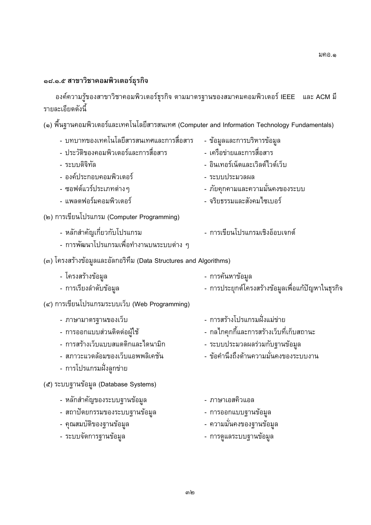## ๑๘.๑.๕ สาขาวิชาคอมพิวเตอร์ธุรกิจ

รายละเอียดดังนี้ 765+5;- ! -- 05+---  IEEE / ACM -/ 22&+F

| - บทบาทของเทคโนโลยีสารสนเทศและการสื่อสาร<br>- ประวัติของคอมพิวเตอร์และการสื่อสาร<br>- ระบบดิจิทัล<br>- องค์ประกอบคอมพิวเตอร์<br>- ซอฟต์แวร์ประเภทต่างๆ<br>- แพลตฟอร์มคอมพิวเตอร์ | - ข้อมูลและการบริหารข้อมูล<br>- เครือข่ายและการสื่อสาร<br>- อินเทอร์เน็ตและเวิลด์ไวด์เว็บ<br>- ระบบประมวลผล<br>- ภัยคุกคามและความมั่นคงของระบบ<br>- จริยธรรมและสังคมไซเบอร์ |
|----------------------------------------------------------------------------------------------------------------------------------------------------------------------------------|-----------------------------------------------------------------------------------------------------------------------------------------------------------------------------|
| (๒) การเขียนโปรแกรม (Computer Programming)<br>- หลักสำคัญเกี่ยวกับโปรแกรม<br>- การพัฒนาโปรแกรมเพื่อทำงานบนระบบต่าง ๆ                                                             | - การเขียนโปรแกรมเชิงอ็อบเจกต์                                                                                                                                              |
| (๓) โครงสร้างข้อมูลและอัลกอริทึม (Data Structures and Algorithms)                                                                                                                |                                                                                                                                                                             |
| - โครงสร้างข้อมูล<br>- การเรียงลำดับข้อมูล                                                                                                                                       | - การค้นหาข้อมูล<br>- การประยุกต์โครงสร้างข้อมูลเพื่อแก้ปัญหาในธุรกิจ                                                                                                       |
| (๔) การเขียนโปรแกรมระบบเว็บ (Web Programming)                                                                                                                                    |                                                                                                                                                                             |
| - ภาษามาตรฐานของเว็บ<br>- การออกแบบส่วนติดต่อผู้ใช้<br>- การสร้างเว็บแบบสแตติกและไดนามิก<br>- สภาวะแวดล้อมของเว็บแอพพลิเคชัน<br>- การโปรแกรมฝั่งลูกข่าย                          | - การสร้างโปรแกรมฝั่งแม่ข่าย<br>- กลไกคุกกี้และการสร้างเว็บที่เก็บสถานะ<br>- ระบบประมวลผลร่วมกับฐานข้อมูล<br>- ข้อคำนึงถึงด้านความมั่นคงของระบบงาน                          |
| (๕) ระบบฐานข้อมูล (Database Systems)                                                                                                                                             |                                                                                                                                                                             |
| - หลักสำคัญของระบบฐานข้อมูล<br>- สถาปัตยกรรมของระบบฐานข้อมูล<br>- คุณสมบัติของฐานข้อมูล<br>- ระบบจัดการฐานข้อมูล                                                                 | - ภาษาเอสคิวแอล<br>- การออกแบบฐานข้อมูล<br>- ความมั่นคงของฐานข้อมูล<br>- การดูแลระบบฐานข้อมูล                                                                               |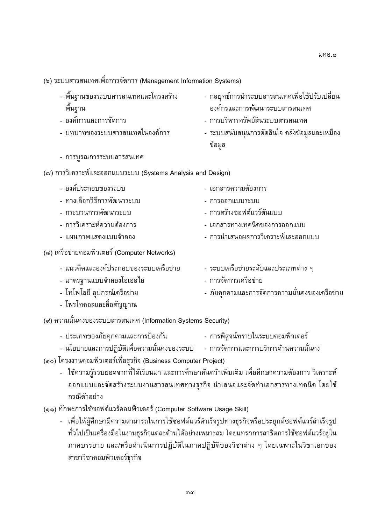(Y) /%% 
 ! <= &2 (Management Information Systems)

- <F05+/%% 
/++6 ์ พื้นฐาน<br>- องค์การและการจัดการ
- 
- บทบาทของระบบสารสนเทศในองค์การ
- กลยุทธ์การนำระบบสารสนเทศเพื่อใช้ปรับเปลี่ยน<br>องค์กรและการพัฒนาระบบสารสนเทศ
- การบริหารทรัพย์สินระบบสารสนเทศ
- $\frac{3}{2}$   $\frac{3}{2}$   $\frac{3}{2}$   $\frac{3}{2}$   $\frac{3}{2}$   $\frac{3}{2}$   $\frac{3}{2}$   $\frac{3}{2}$   $\frac{3}{2}$   $\frac{3}{2}$   $\frac{3}{2}$   $\frac{3}{2}$   $\frac{3}{2}$   $\frac{3}{2}$   $\frac{3}{2}$   $\frac{3}{2}$   $\frac{3}{2}$   $\frac{3}{2}$   $\frac{3$  $\mathbf{q}$  $\overline{a}$
- การบูรณการระบบสารสนเทศ

(๗) การวิเคราะห์และออกแบบระบบ (Systems Analysis and Design)<br>- องค์ประกอบของระบบ

- ทางเลือกวิธีการพัฒนาระบบ  $5+11$ - + <1/%% - %%/%% & - การวิเคราะห์ความต้องการ  $\frac{6}{3}$ - /-- - การนำเสนอผลการวิเคราะห์และออกแบบ - V"2+%%!G+ - G V /-/%% (๘) เครือข่ายคอมพิวเตอร์ (Computer Networks)  $\sum_{i=1}^{n}$ - 2/+3/%5+/%% 5< 9 - /%% <5/2 9 &%/3/ " - ระบบเครือข่ายระดับและประเภทต่าง ๆ
	- -  $\frac{1}{2}$   $\frac{1}{2}$   $\frac{1}{2}$   $\frac{1}{2}$   $\frac{1}{2}$   $\frac{1}{2}$   $\frac{1}{2}$   $\frac{1}{2}$   $\frac{1}{2}$   $\frac{1}{2}$   $\frac{1}{2}$   $\frac{1}{2}$   $\frac{1}{2}$   $\frac{1}{2}$   $\frac{1}{2}$   $\frac{1}{2}$   $\frac{1}{2}$   $\frac{1}{2}$   $\frac{1}{2}$   $\frac{1}{2}$   $\frac{1}{2}$   $\frac{1}{2}$  - 
	 3' <59 - "&-

- โพรโทคอลและสื่อสัญญาณ

 $\left($ -1,  $\right)$  -1,  $\left($ -1,  $\right)$  -1,  $\left($ -1,  $\right)$  -1,  $\left($ -1,  $\right)$  -1,  $\left($ -1,  $\right)$  -1,  $\left($ -1,  $\right)$  -1,  $\left($ -1,  $\right)$ 

- 
- ه و المصدر المستخدم بعد المستخدم المستخدم المستخدم المستخدم المستخدم المستخدم المستخدم المستخدم المستخدم المستخدم ال<br>و المستخدم المستخدم المستخدم المستخدم المستخدم المستخدم المستخدم المستخدم المستخدم المستخدم المستخدم الم
- $\sim$   $\frac{1}{2}$
- $\frac{1}{2}$ - >;6-76%2!
=\$26 - /@#66 =- - <=@#- 6+ /- %%/!&26+/%%+ 

+! G /!&2
G 
+ 
 2>;6 กรณตวอยาง<br><sup>มห</sup>อวร<sup>ใ</sup>ช้ซอฟ

 $\left( \begin{array}{cc} \cdots \end{array} \right)$ ย<br>เม้าใจไม่เป็นเครื่องผู้เป็นงานธุรกิจแต่จะค้านได้จย่างเหมาะจน โดยแหรกการจาริตการใช้ชาฟต์แลร์จย์ใน  $\frac{1}{2}$ "% //-<2G 3L%& >"3L%& 5+; 9+ D 2 ^/>; 5+  $\frac{1}{3}$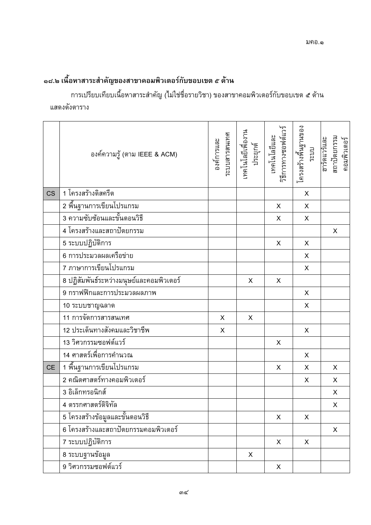# ุ ๑๘.๒ เนื้อหาสาระสำคัญของสาขาคอมพิวเตอร์กับขอบเขต ๕ ด้าน

การเปรียบเทียบเนื้อหาสาระสำคัญ (ไม่ใช่ชื่อรายวิชา) ของสาขาคอมพิวเตอร์กับขอบเขต ๕ ด้าน แสดงดังตาราง

|           | องค์ความรู้ (ตาม IEEE & ACM)                          | ระบบสารสนเทศ<br>องค์การและ | เทคโนโลยีเพื่องาน<br>ประยุกต์ | เทคโนโลยีและ<br>วิธีการทางซอฟต์แวร์ | โครงสร้างพื้นฐานของ<br>ระบบ | ฮาร์ดแวร์และ<br>สถาปัตยกรรม<br>คอมพิวเตอร์ |
|-----------|-------------------------------------------------------|----------------------------|-------------------------------|-------------------------------------|-----------------------------|--------------------------------------------|
| <b>CS</b> | 1 โครงสร้างดิสครีต                                    |                            |                               |                                     | X                           |                                            |
|           | 2 พื้นฐานการเขียนโปรแกรม                              |                            |                               | $\pmb{\times}$                      | $\mathsf X$                 |                                            |
|           | ี้<br>3 ความซับซ้อนและขั้นตอนวิธี                     |                            |                               | X                                   | X                           |                                            |
|           | 4 โครงสร้างและสถาปัตยกรรม                             |                            |                               |                                     |                             | X                                          |
|           | 5 ระบบปฏิบัติการ                                      |                            |                               | X                                   | X                           |                                            |
|           | 6 การประมวลผลเครือข่าย                                |                            |                               |                                     | X                           |                                            |
|           | 7 ภาษาการเขียนโปรแกรม                                 |                            |                               |                                     | $\mathsf{x}$                |                                            |
|           | <u>ี<br/>8 ปฏิสัมพันธ์ระหว่างมนุษย์และคอมพิวเตอร์</u> |                            | X                             | X                                   |                             |                                            |
|           |                                                       |                            |                               |                                     | X                           |                                            |
|           | 10 ระบบชาญฉลาด                                        |                            |                               |                                     | X                           |                                            |
|           | —<br>11 การจัดการสารสนเทศ                             | X                          | X                             |                                     |                             |                                            |
|           | 12 ประเด็นทางสังคมและวิชาชีพ                          | X                          |                               |                                     | X                           |                                            |
|           | 13 วิศวกรรมซอฟต์แวร์                                  |                            |                               | X                                   |                             |                                            |
|           | 14 ศาสตร์เพื่อการคำนวณ                                |                            |                               |                                     | X                           |                                            |
| <b>CE</b> | 1 พื้นฐานการเขียนโปรแกรม                              |                            |                               | X                                   | X                           | X                                          |
|           | ี่ 2 คณิตศาสตร์ทางคอมพิวเตอร์                         |                            |                               |                                     | X                           | X                                          |
|           | 3 อิเล็กทรอนิกส์                                      |                            |                               |                                     |                             | $\overline{\mathsf{X}}$                    |
|           | 4 ตรรกศาสตร์ดิจิทัล                                   |                            |                               |                                     |                             | X                                          |
|           | 5 โครงสร้างข้อมูลและขั้นตอนวิธี                       |                            |                               | X                                   | X                           |                                            |
|           | 6 โครงสร้างและสถาปัตยกรรมคอมพิวเตอร์                  |                            |                               |                                     |                             | X                                          |
|           | 7 ระบบปฏิบัติการ                                      |                            |                               | X                                   | X                           |                                            |
|           | 8 ระบบฐานข้อมูล                                       |                            | X                             |                                     |                             |                                            |
|           | 9 วิศวกรรมซอฟต์แวร์                                   |                            |                               | X                                   |                             |                                            |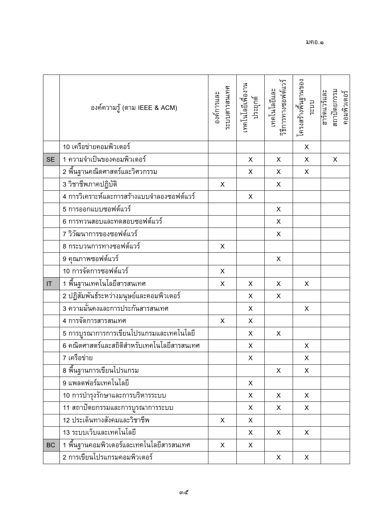|           | องค์ความรู้ (ตาม IEEE & ACM)                      | ระบบสารสนเทศ<br>องค์การและ | เทคโนโลยีเพื่องาน<br>ประยุกต์ | เทคโนโลยีและ<br>วิธีการทางซอฟต์แวร์ | โครงสร้างพื้นฐานของ<br>ระบบ | ฮาร์ดแวร์และ<br>สถาปัตยกรรม<br>คอมพิวเตอร์ |
|-----------|---------------------------------------------------|----------------------------|-------------------------------|-------------------------------------|-----------------------------|--------------------------------------------|
|           | 10 เครือข่ายคอมพิวเตอร์                           |                            |                               |                                     | X                           |                                            |
| <b>SE</b> | 1 ความจำเป็นของคอมพิวเตอร์                        |                            | $\pmb{\times}$                | X                                   | X                           | X                                          |
|           | 2 พื้นฐานคณิตศาสตร์และวิศวกรรม                    |                            | X                             | X                                   | X                           |                                            |
|           | 3 วิชาชีพภาคปฏิบัติ                               | X                          |                               | X                                   |                             |                                            |
|           | 4 การวิเคราะห์และการสร้างแบบจำลองซอฟต์แวร์        |                            | $\mathsf X$                   |                                     |                             |                                            |
|           | 5 การออกแบบซอฟต์แวร์                              |                            |                               | X                                   |                             |                                            |
|           | 6 การทวนสอบและทดสอบซอฟต์แวร์                      |                            |                               | $\boldsymbol{\mathsf{X}}$           |                             |                                            |
|           | 7 วิวัฒนาการของซอฟต์แวร์                          |                            |                               | $\mathsf X$                         |                             |                                            |
|           | 8 กระบวนการทางซอฟต์แวร์                           | X                          |                               |                                     |                             |                                            |
|           | 9 คุณภาพซอฟต์แวร์                                 |                            |                               | X                                   |                             |                                            |
|           | 10 การจัดการซอฟต์แวร์                             | $\mathsf X$                |                               |                                     |                             |                                            |
| IT        | 1 พื้นฐานเทคโนโลยีสารสนเทศ                        | X                          | X                             | X                                   | X                           |                                            |
|           | _<br>2 ปฏิสัมพันธ์ระหว่างมนุษย์และคอมพิวเตอร์     |                            | X                             | X                                   |                             |                                            |
|           | _____________<br>3 ความมั่นคงและการประกันสารสนเทศ |                            | X                             |                                     | X                           |                                            |
|           | _<br>4 การจัดการสารสนเทศ                          | X                          | X                             |                                     |                             |                                            |
|           | 5 การบูรณาการการเขียนโปรแกรมและเทคโนโลยี          |                            | X                             | X                                   |                             |                                            |
|           | 6 คณิตศาสตร์และสถิติสำหรับเทคโนโลยีสารสนเทศ       |                            | X                             |                                     | X                           |                                            |
|           | 7 เครือข่าย                                       |                            | $\pmb{\times}$                |                                     | X                           |                                            |
|           | 8 พื้นฐานการเขียนโปรแกรม                          |                            |                               | X                                   | X                           |                                            |
|           | 9 แพลตฟอร์มเทคโนโลยี                              |                            | X                             |                                     |                             |                                            |
|           |                                                   |                            | X                             | X                                   | X                           |                                            |
|           |                                                   |                            | X                             | X                                   | X                           |                                            |
|           | 12 ประเด็นทางสังคมและวิชาชีพ                      | X                          | X                             |                                     |                             |                                            |
|           | 13 ระบบเว็บและเทคโนโลยี                           |                            | X                             | X                                   | X                           |                                            |
| <b>BC</b> | 1 พื้นฐานคอมพิวเตอร์และเทคโนโลยีสารสนเทศ          | X                          | X                             |                                     |                             |                                            |
|           | 2 การเขียนโปรแกรมคอมพิวเตอร์                      |                            |                               | X                                   | X                           |                                            |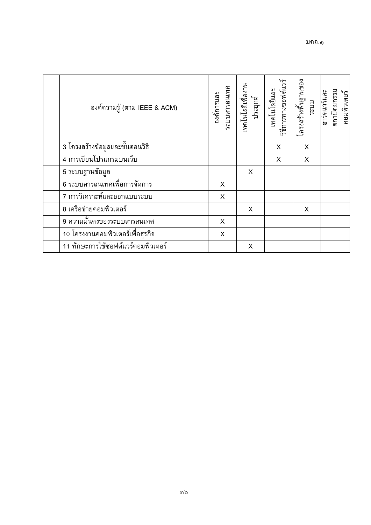| ้องค์ความรู้ (ตาม IEEE & ACM)      | ระบบสารสนเทศ<br>องค์การและ | เทคโนโลยีเพียงาน<br>ประยุกต์ | วิธีการทางซอฟต์แวร์<br>เทคโนโลยีและ | โครงสร้างฟันฐานของ<br>ระบบ | สถาปัตยกรรม<br>ฮาร์ดแวร์และ<br>คอมพิวเตอร์ |
|------------------------------------|----------------------------|------------------------------|-------------------------------------|----------------------------|--------------------------------------------|
| 3 โครงสร้างข้อมูลและขั้นตอนวิธี    |                            |                              | X                                   | X                          |                                            |
| 4 การเขียนโปรแกรมบนเว็บ            |                            |                              | X                                   | X                          |                                            |
| 5 ระบบฐานข้อมูล                    |                            | X                            |                                     |                            |                                            |
| 6 ระบบสารสนเทศเพื่อการจัดการ       | X                          |                              |                                     |                            |                                            |
| 7 การวิเคราะห์และออกแบบระบบ        | X                          |                              |                                     |                            |                                            |
| 8 เครือข่ายคอมพิวเตอร์             |                            | X                            |                                     | X                          |                                            |
| ี่ 9 ความมั่นคงของระบบสารสนเทศ     | X                          |                              |                                     |                            |                                            |
| 10 โครงงานคอมพิวเตอร์เพื่อธุรกิจ   | X                          |                              |                                     |                            |                                            |
| 11 ทักษะการใช้ซอฟต์แวร์คอมพิวเตอร์ |                            | X                            |                                     |                            |                                            |